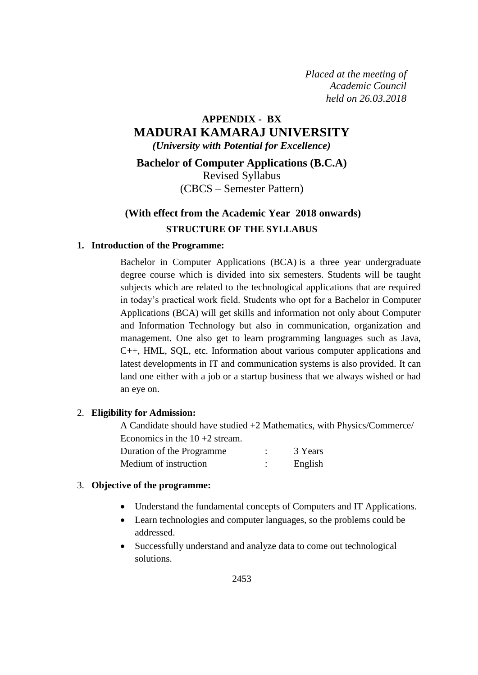*Placed at the meeting of Academic Council held on 26.03.2018*

# **APPENDIX - BX MADURAI KAMARAJ UNIVERSITY** *(University with Potential for Excellence)*

**Bachelor of Computer Applications (B.C.A)**

Revised Syllabus (CBCS – Semester Pattern)

# **(With effect from the Academic Year 2018 onwards) STRUCTURE OF THE SYLLABUS**

### **1. Introduction of the Programme:**

[Bachelor in Computer Applications \(BCA\)](http://inspiria.net.in/degree-courses/school-computer-application/bca/) is a three year undergraduate degree course which is divided into six semesters. Students will be taught subjects which are related to the technological applications that are required in today"s practical work field. Students who opt for a [Bachelor in Computer](http://inspiria.net.in/degree-courses/school-computer-application/bca/)  [Applications \(BCA\)](http://inspiria.net.in/degree-courses/school-computer-application/bca/) will get skills and information not only about Computer and Information Technology but also in communication, organization and management. One also get to learn programming languages such as Java, C++, HML, SQL, etc. Information about various computer applications and latest developments in IT and communication systems is also provided. It can land one either with a job or a startup business that we always wished or had an eye on.

### 2. **Eligibility for Admission:**

A Candidate should have studied +2 Mathematics, with Physics/Commerce/ Economics in the  $10 + 2$  stream. Duration of the Programme : 3 Years Medium of instruction : English

#### 3. **Objective of the programme:**

- Understand the fundamental concepts of Computers and IT Applications.
- Learn technologies and computer languages, so the problems could be addressed.
- Successfully understand and analyze data to come out technological solutions.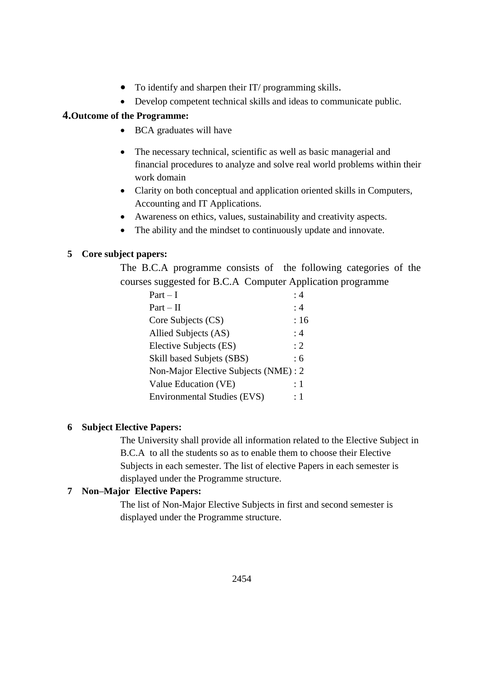- To identify and sharpen their IT/ programming skills.
- Develop competent technical skills and ideas to communicate public.

# **4.Outcome of the Programme:**

- BCA graduates will have
- The necessary technical, scientific as well as basic managerial and financial procedures to analyze and solve real world problems within their work domain
- Clarity on both conceptual and application oriented skills in Computers, Accounting and IT Applications.
- Awareness on ethics, values, sustainability and creativity aspects.
- The ability and the mindset to continuously update and innovate.

# **5 Core subject papers:**

The B.C.A programme consists of the following categories of the courses suggested for B.C.A Computer Application programme

| $Part-I$                              | :4  |
|---------------------------------------|-----|
| $Part - II$                           | : 4 |
| Core Subjects (CS)                    | :16 |
| Allied Subjects (AS)                  | :4  |
| Elective Subjects (ES)                | : 2 |
| Skill based Subjets (SBS)             | :6  |
| Non-Major Elective Subjects (NME) : 2 |     |
| Value Education (VE)                  | :1  |
| <b>Environmental Studies (EVS)</b>    | : 1 |

# **6 Subject Elective Papers:**

The University shall provide all information related to the Elective Subject in B.C.A to all the students so as to enable them to choose their Elective Subjects in each semester. The list of elective Papers in each semester is displayed under the Programme structure.

# **7 Non–Major Elective Papers:**

The list of Non-Major Elective Subjects in first and second semester is displayed under the Programme structure.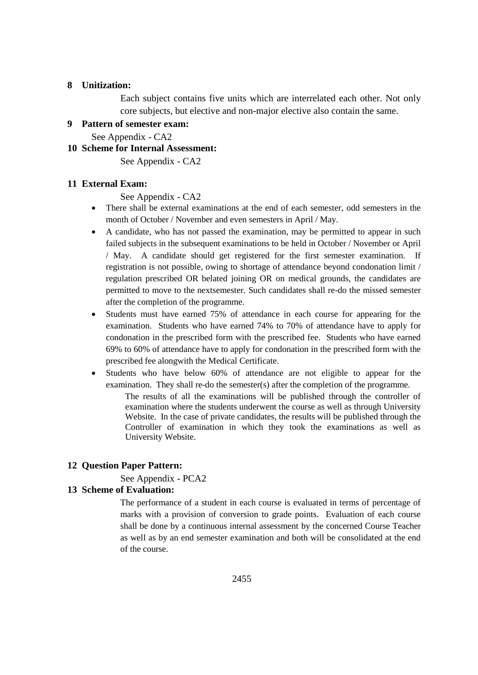### **8 Unitization:**

Each subject contains five units which are interrelated each other. Not only core subjects, but elective and non-major elective also contain the same.

### **9 Pattern of semester exam:**

See Appendix - CA2

### **10 Scheme for Internal Assessment:**

See Appendix - CA2

### **11 External Exam:**

See Appendix - CA2

- There shall be external examinations at the end of each semester, odd semesters in the month of October / November and even semesters in April / May.
- A candidate, who has not passed the examination, may be permitted to appear in such failed subjects in the subsequent examinations to be held in October / November or April / May. A candidate should get registered for the first semester examination. If registration is not possible, owing to shortage of attendance beyond condonation limit / regulation prescribed OR belated joining OR on medical grounds, the candidates are permitted to move to the nextsemester. Such candidates shall re-do the missed semester after the completion of the programme.
- Students must have earned 75% of attendance in each course for appearing for the examination. Students who have earned 74% to 70% of attendance have to apply for condonation in the prescribed form with the prescribed fee. Students who have earned 69% to 60% of attendance have to apply for condonation in the prescribed form with the prescribed fee alongwith the Medical Certificate.
- Students who have below 60% of attendance are not eligible to appear for the examination. They shall re-do the semester(s) after the completion of the programme.

The results of all the examinations will be published through the controller of examination where the students underwent the course as well as through University Website. In the case of private candidates, the results will be published through the Controller of examination in which they took the examinations as well as University Website.

#### **12 Question Paper Pattern:**

See Appendix - PCA2

# **13 Scheme of Evaluation:**

The performance of a student in each course is evaluated in terms of percentage of marks with a provision of conversion to grade points. Evaluation of each course shall be done by a continuous internal assessment by the concerned Course Teacher as well as by an end semester examination and both will be consolidated at the end of the course.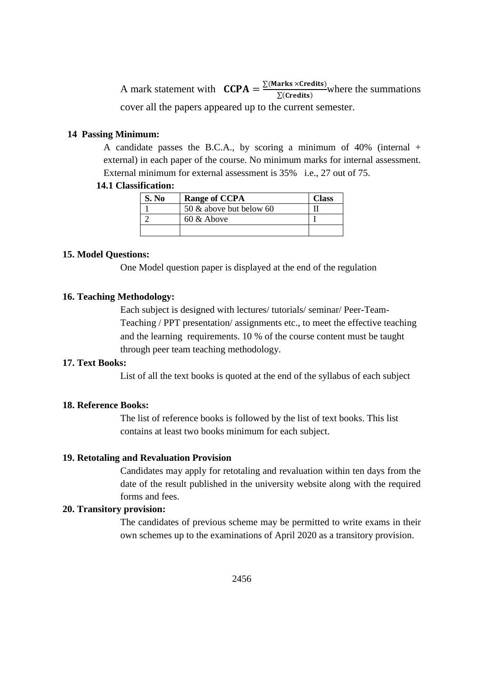A mark statement with  $CCPA = \frac{\sum (Marks \times Credits)}{\sum (Credits)}$  $\frac{a\ln s \times c \cdot c \cdot a \cdot d \cdot s}{\sum (C \cdot c \cdot d \cdot t \cdot s)}$  where the summations cover all the papers appeared up to the current semester.

### **14 Passing Minimum:**

A candidate passes the B.C.A., by scoring a minimum of 40% (internal + external) in each paper of the course. No minimum marks for internal assessment. External minimum for external assessment is 35% i.e., 27 out of 75.

# **14.1 Classification:**

| S. No | <b>Range of CCPA</b>       | Class |
|-------|----------------------------|-------|
|       | 50 $\&$ above but below 60 |       |
|       | $60 \&$ Above              |       |
|       |                            |       |

### **15. Model Questions:**

One Model question paper is displayed at the end of the regulation

#### **16. Teaching Methodology:**

Each subject is designed with lectures/ tutorials/ seminar/ Peer-Team-Teaching / PPT presentation/ assignments etc., to meet the effective teaching and the learning requirements. 10 % of the course content must be taught through peer team teaching methodology.

#### **17. Text Books:**

List of all the text books is quoted at the end of the syllabus of each subject

### **18. Reference Books:**

The list of reference books is followed by the list of text books. This list contains at least two books minimum for each subject.

#### **19. Retotaling and Revaluation Provision**

Candidates may apply for retotaling and revaluation within ten days from the date of the result published in the university website along with the required forms and fees.

### **20. Transitory provision:**

The candidates of previous scheme may be permitted to write exams in their own schemes up to the examinations of April 2020 as a transitory provision.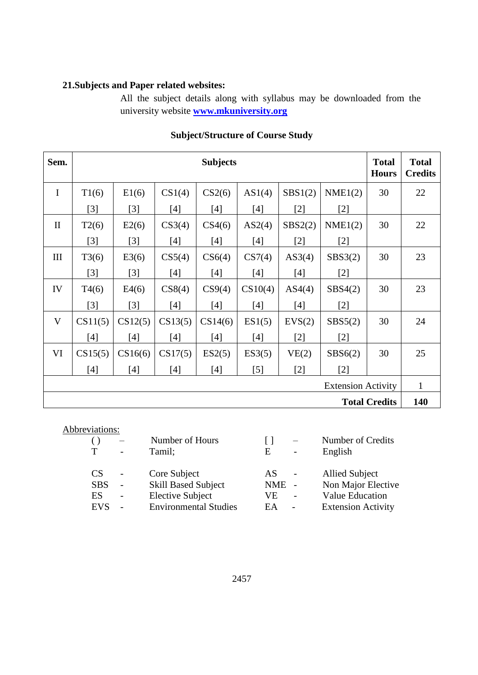# **21.Subjects and Paper related websites:**

All the subject details along with syllabus may be downloaded from the university website **[www.mkuniversity.org](http://www.mkuniversity.org/)**

| Sem.                      | <b>Subjects</b> |         |         |         |         |         | <b>Total</b><br><b>Hours</b> | <b>Total</b><br><b>Credits</b> |    |
|---------------------------|-----------------|---------|---------|---------|---------|---------|------------------------------|--------------------------------|----|
| $\mathbf I$               | T1(6)           | E1(6)   | CS1(4)  | CS2(6)  | AS1(4)  | SBS1(2) | NME1(2)                      | 30                             | 22 |
|                           | $[3]$           | $[3]$   | $[4]$   | $[4]$   | $[4]$   | $[2]$   | $[2]$                        |                                |    |
| $\mathbf{I}$              | T2(6)           | E2(6)   | CS3(4)  | CS4(6)  | AS2(4)  | SBS2(2) | NME1(2)                      | 30                             | 22 |
|                           | [3]             | $[3]$   | $[4]$   | [4]     | $[4]$   | [2]     | $[2]$                        |                                |    |
| III                       | T3(6)           | E3(6)   | CS5(4)  | CS6(4)  | CS7(4)  | AS3(4)  | SBS3(2)                      | 30                             | 23 |
|                           | $[3]$           | $[3]$   | $[4]$   | $[4]$   | $[4]$   | $[4]$   | $[2]$                        |                                |    |
| IV                        | T4(6)           | E4(6)   | CS8(4)  | CS9(4)  | CS10(4) | AS4(4)  | SBS4(2)                      | 30                             | 23 |
|                           | [3]             | $[3]$   | $[4]$   | $[4]$   | $[4]$   | $[4]$   | [2]                          |                                |    |
| V                         | CS11(5)         | CS12(5) | CS13(5) | CS14(6) | ES1(5)  | EVS(2)  | SBS5(2)                      | 30                             | 24 |
|                           | $[4]$           | $[4]$   | $[4]$   | $[4]$   | $[4]$   | $[2]$   | $[2]$                        |                                |    |
| VI                        | CS15(5)         | CS16(6) | CS17(5) | ES2(5)  | ES3(5)  | VE(2)   | SBS6(2)                      | 30                             | 25 |
|                           | [4]             | $[4]$   | [4]     | [4]     | $[5]$   | $[2]$   | [2]                          |                                |    |
| <b>Extension Activity</b> |                 |         |         |         |         | 1       |                              |                                |    |
| <b>Total Credits</b>      |                 |         |         |         |         | 140     |                              |                                |    |

# **Subject/Structure of Course Study**

| Abbreviations:                                    |                                  |                                                                                                       |                              |                          |                                                                                             |
|---------------------------------------------------|----------------------------------|-------------------------------------------------------------------------------------------------------|------------------------------|--------------------------|---------------------------------------------------------------------------------------------|
|                                                   | $\overline{\phantom{a}}$         | Number of Hours<br>Tamil;                                                                             | Е                            | $\overline{\phantom{a}}$ | Number of Credits<br>English                                                                |
| CS <sup>-</sup><br><b>SBS</b><br>ES<br><b>EVS</b> | $\overline{a}$<br>$\overline{a}$ | Core Subject<br><b>Skill Based Subject</b><br><b>Elective Subject</b><br><b>Environmental Studies</b> | AS<br><b>NME</b><br>VЕ<br>EA | $\overline{a}$           | Allied Subject<br>Non Major Elective<br><b>Value Education</b><br><b>Extension Activity</b> |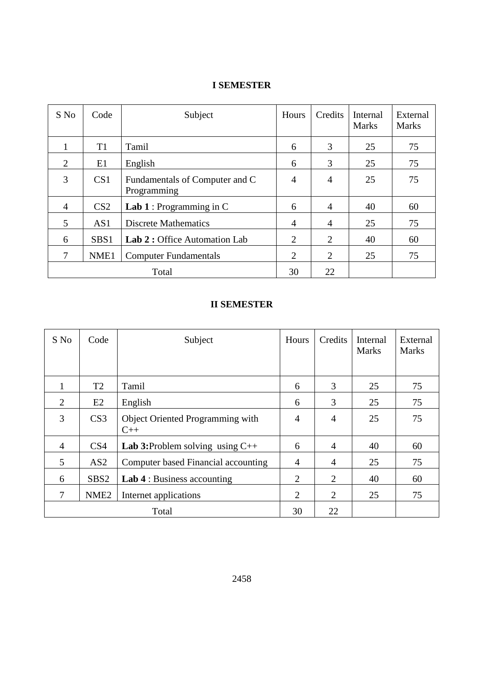| S No           | Code             | Subject                                       | Hours          | Credits        | Internal<br><b>Marks</b> | External<br><b>Marks</b> |
|----------------|------------------|-----------------------------------------------|----------------|----------------|--------------------------|--------------------------|
| 1              | T <sub>1</sub>   | Tamil                                         | 6              | 3              | 25                       | 75                       |
| 2              | E1               | English                                       | 6              | 3              | 25                       | 75                       |
| 3              | CS <sub>1</sub>  | Fundamentals of Computer and C<br>Programming | 4              | 4              | 25                       | 75                       |
| $\overline{4}$ | CS <sub>2</sub>  | <b>Lab 1</b> : Programming in $C$             | 6              | $\overline{4}$ | 40                       | 60                       |
| 5              | AS1              | <b>Discrete Mathematics</b>                   | $\overline{4}$ | $\overline{4}$ | 25                       | 75                       |
| 6              | SBS <sub>1</sub> | Lab 2 : Office Automation Lab                 | $\overline{2}$ | 2              | 40                       | 60                       |
| 7              | NME1             | <b>Computer Fundamentals</b>                  | $\overline{2}$ | $\overline{2}$ | 25                       | 75                       |
|                |                  | Total                                         | 30             | 22             |                          |                          |

# **I SEMESTER**

# **II SEMESTER**

| S No           | Code             | Subject                                          | Hours          | Credits        | Internal<br><b>Marks</b> | External<br><b>Marks</b> |
|----------------|------------------|--------------------------------------------------|----------------|----------------|--------------------------|--------------------------|
| 1.             | T <sub>2</sub>   | Tamil                                            | 6              | 3              | 25                       | 75                       |
| $\overline{2}$ | E2               | English                                          | 6              | 3              | 25                       | 75                       |
| 3              | CS <sub>3</sub>  | <b>Object Oriented Programming with</b><br>$C++$ | 4              | $\overline{4}$ | 25                       | 75                       |
| $\overline{4}$ | CS <sub>4</sub>  | <b>Lab 3:</b> Problem solving using $C++$        | 6              | $\overline{4}$ | 40                       | 60                       |
| 5              | AS2              | Computer based Financial accounting              | 4              | $\overline{4}$ | 25                       | 75                       |
| 6              | SBS <sub>2</sub> | <b>Lab 4</b> : Business accounting               | $\overline{2}$ | 2              | 40                       | 60                       |
| 7              | NME <sub>2</sub> | Internet applications                            | $\overline{2}$ | 2              | 25                       | 75                       |
|                |                  | Total                                            | 30             | 22             |                          |                          |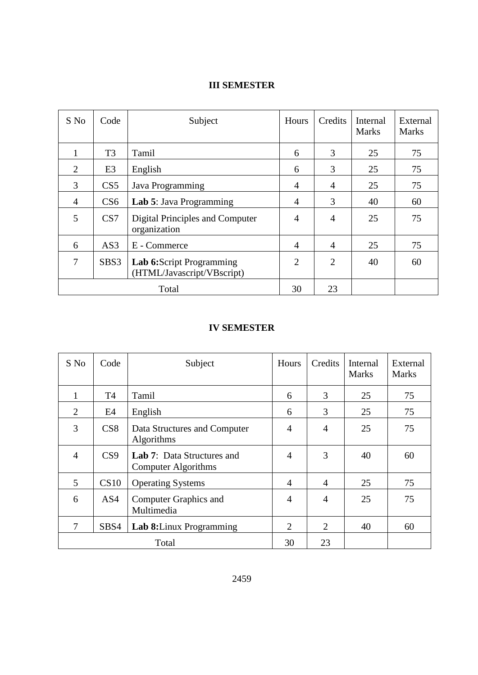# **III SEMESTER**

| S No           | Code            | Subject                                                | Hours          | Credits        | Internal<br><b>Marks</b> | External<br><b>Marks</b> |
|----------------|-----------------|--------------------------------------------------------|----------------|----------------|--------------------------|--------------------------|
|                | T <sub>3</sub>  | Tamil                                                  | 6              | 3              | 25                       | 75                       |
| $\overline{2}$ | E <sub>3</sub>  | English                                                | 6              | 3              | 25                       | 75                       |
| 3              | CS <sub>5</sub> | Java Programming                                       | $\overline{A}$ | 4              | 25                       | 75                       |
| 4              | CS <sub>6</sub> | Lab 5: Java Programming                                | $\overline{4}$ | 3              | 40                       | 60                       |
| 5              | CS7             | Digital Principles and Computer<br>organization        | $\overline{4}$ | $\overline{4}$ | 25                       | 75                       |
| 6              | AS3             | E - Commerce                                           | $\overline{4}$ | $\overline{4}$ | 25                       | 75                       |
| $\tau$         | SBS3            | Lab 6:Script Programming<br>(HTML/Javascript/VBscript) | $\overline{2}$ | $\overline{2}$ | 40                       | 60                       |
|                |                 | Total                                                  | 30             | 23             |                          |                          |

# **IV SEMESTER**

| S No | Code      | Subject                                                         | Hours          | Credits        | Internal<br><b>Marks</b> | External<br><b>Marks</b> |
|------|-----------|-----------------------------------------------------------------|----------------|----------------|--------------------------|--------------------------|
| 1    | <b>T4</b> | Tamil                                                           | 6              | 3              | 25                       | 75                       |
| 2    | E4        | English                                                         | 6              | 3              | 25                       | 75                       |
| 3    | CS8       | Data Structures and Computer<br>Algorithms                      | $\overline{4}$ | $\overline{4}$ | 25                       | 75                       |
| 4    | CS9       | <b>Lab 7:</b> Data Structures and<br><b>Computer Algorithms</b> | $\overline{4}$ | 3              | 40                       | 60                       |
| 5    | CS10      | <b>Operating Systems</b>                                        | $\overline{4}$ | $\overline{4}$ | 25                       | 75                       |
| 6    | AS4       | <b>Computer Graphics and</b><br>Multimedia                      | 4              | $\overline{4}$ | 25                       | 75                       |
| 7    | SBS4      | <b>Lab 8:</b> Linux Programming                                 | $\overline{2}$ | $\overline{2}$ | 40                       | 60                       |
|      |           | Total                                                           | 30             | 23             |                          |                          |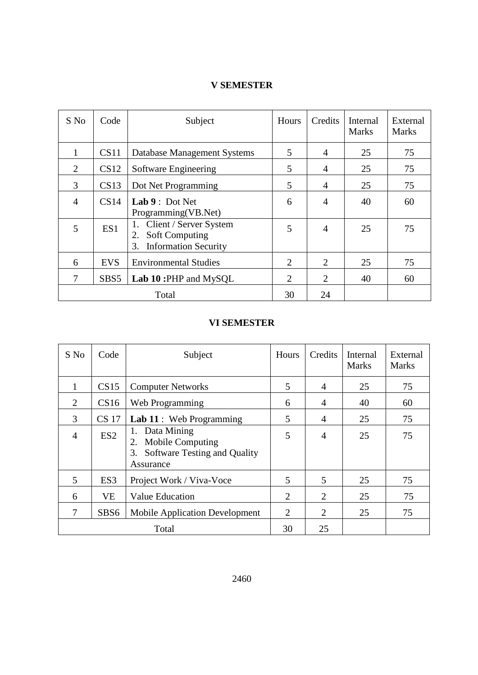# **V SEMESTER**

| S No           | Code       | Subject                                                                                       | Hours          | Credits        | Internal<br><b>Marks</b> | External<br><b>Marks</b> |
|----------------|------------|-----------------------------------------------------------------------------------------------|----------------|----------------|--------------------------|--------------------------|
|                | CS11       | Database Management Systems                                                                   | 5              | 4              | 25                       | 75                       |
| 2              | CS12       | Software Engineering                                                                          | 5              | $\overline{4}$ | 25                       | 75                       |
| 3              | CS13       | Dot Net Programming                                                                           | 5              | 4              | 25                       | 75                       |
| $\overline{4}$ | CS14       | Lab $9:$ Dot Net<br>Programming(VB.Net)                                                       | 6              | $\overline{A}$ | 40                       | 60                       |
| 5              | ES1        | 1. Client / Server System<br><b>Soft Computing</b><br>2.<br><b>Information Security</b><br>3. | 5              | 4              | 25                       | 75                       |
| 6              | <b>EVS</b> | <b>Environmental Studies</b>                                                                  | $\overline{2}$ | 2              | 25                       | 75                       |
| 7              | SBS5       | Lab 10: PHP and MySQL                                                                         | $\overline{2}$ | 2              | 40                       | 60                       |
|                |            | Total                                                                                         | 30             | 24             |                          |                          |

# **VI SEMESTER**

| S No           | Code            | Subject                                                                                        | Hours          | Credits        | Internal<br><b>Marks</b> | External<br><b>Marks</b> |
|----------------|-----------------|------------------------------------------------------------------------------------------------|----------------|----------------|--------------------------|--------------------------|
|                | CS15            | <b>Computer Networks</b>                                                                       | 5              | 4              | 25                       | 75                       |
| 2              | CS16            | Web Programming                                                                                | 6              | 4              | 40                       | 60                       |
| 3              | <b>CS</b> 17    | Lab 11 : Web Programming                                                                       | 5              | $\overline{4}$ | 25                       | 75                       |
| $\overline{4}$ | ES <sub>2</sub> | Data Mining<br>1.<br>Mobile Computing<br>2.<br>Software Testing and Quality<br>3.<br>Assurance | 5              | $\overline{4}$ | 25                       | 75                       |
| 5              | ES <sub>3</sub> | Project Work / Viva-Voce                                                                       | 5              | 5              | 25                       | 75                       |
| 6              | <b>VE</b>       | <b>Value Education</b>                                                                         | $\overline{2}$ | $\overline{2}$ | 25                       | 75                       |
| 7              | SBS6            | <b>Mobile Application Development</b>                                                          | $\overline{2}$ | $\overline{2}$ | 25                       | 75                       |
|                |                 | Total                                                                                          | 30             | 25             |                          |                          |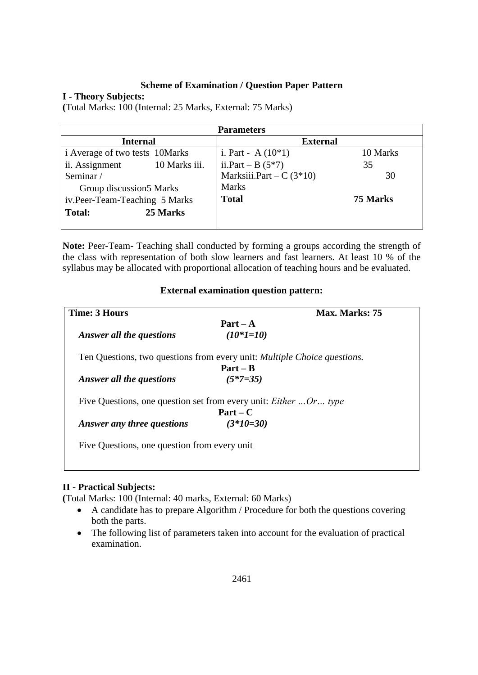# **Scheme of Examination / Question Paper Pattern**

# **I - Theory Subjects:**

**(**Total Marks: 100 (Internal: 25 Marks, External: 75 Marks)

| <b>Parameters</b>               |                           |          |  |  |  |  |
|---------------------------------|---------------------------|----------|--|--|--|--|
| <b>Internal</b>                 | <b>External</b>           |          |  |  |  |  |
| i Average of two tests 10Marks  | i. Part - A $(10*1)$      | 10 Marks |  |  |  |  |
| ii. Assignment<br>10 Marks iii. | ii.Part – B $(5*7)$       | 35       |  |  |  |  |
| Seminar/                        | Marksiii.Part – $C(3*10)$ | 30       |  |  |  |  |
| Group discussion5 Marks         | <b>Marks</b>              |          |  |  |  |  |
| iv.Peer-Team-Teaching 5 Marks   | <b>Total</b>              | 75 Marks |  |  |  |  |
| <b>Total:</b><br>25 Marks       |                           |          |  |  |  |  |
|                                 |                           |          |  |  |  |  |

**Note:** Peer-Team- Teaching shall conducted by forming a groups according the strength of the class with representation of both slow learners and fast learners. At least 10 % of the syllabus may be allocated with proportional allocation of teaching hours and be evaluated.

# **External examination question pattern:**

| <b>Time: 3 Hours</b>                                                             |             | Max. Marks: 75 |
|----------------------------------------------------------------------------------|-------------|----------------|
|                                                                                  | $Part - A$  |                |
| Answer all the questions                                                         | $(10*1=10)$ |                |
| Ten Questions, two questions from every unit: <i>Multiple Choice questions</i> . |             |                |
|                                                                                  | $Part - R$  |                |
| Answer all the questions                                                         | $(5*7=35)$  |                |
| Five Questions, one question set from every unit: <i>Either</i> Or  type         |             |                |
|                                                                                  | $Part - C$  |                |
| Answer any three questions                                                       | $(3*10=30)$ |                |
| Five Questions, one question from every unit                                     |             |                |
|                                                                                  |             |                |

# **II - Practical Subjects:**

**(**Total Marks: 100 (Internal: 40 marks, External: 60 Marks)

- A candidate has to prepare Algorithm / Procedure for both the questions covering both the parts.
- The following list of parameters taken into account for the evaluation of practical examination.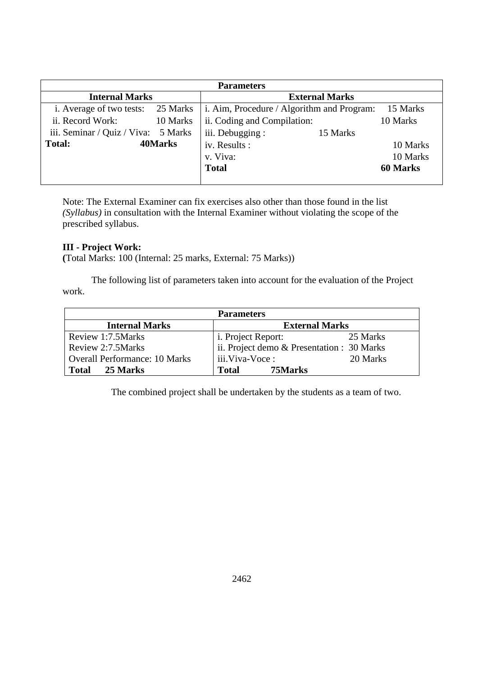| <b>Parameters</b>                   |          |                                            |          |          |
|-------------------------------------|----------|--------------------------------------------|----------|----------|
| <b>Internal Marks</b>               |          | <b>External Marks</b>                      |          |          |
| i. Average of two tests: 25 Marks   |          | i. Aim, Procedure / Algorithm and Program: |          | 15 Marks |
| ii. Record Work:                    | 10 Marks | ii. Coding and Compilation:                |          | 10 Marks |
| iii. Seminar / Quiz / Viva: 5 Marks |          | iii. Debugging :                           | 15 Marks |          |
| 40Marks<br><b>Total:</b>            |          | iv. Results :                              |          | 10 Marks |
|                                     |          | v. Viva:                                   |          | 10 Marks |
|                                     |          | <b>Total</b>                               |          | 60 Marks |
|                                     |          |                                            |          |          |

Note: The External Examiner can fix exercises also other than those found in the list *(Syllabus)* in consultation with the Internal Examiner without violating the scope of the prescribed syllabus.

# **III - Project Work:**

**(**Total Marks: 100 (Internal: 25 marks, External: 75 Marks))

The following list of parameters taken into account for the evaluation of the Project work.

| <b>Parameters</b>                    |                                            |  |
|--------------------------------------|--------------------------------------------|--|
| <b>Internal Marks</b>                | <b>External Marks</b>                      |  |
| Review 1:7.5Marks                    | 25 Marks<br><i>i.</i> Project Report:      |  |
| Review 2:7.5Marks                    | ii. Project demo & Presentation : 30 Marks |  |
| <b>Overall Performance: 10 Marks</b> | iii.Viva-Voce:<br>20 Marks                 |  |
| 25 Marks<br><b>Total</b>             | <b>Total</b><br>75Marks                    |  |

The combined project shall be undertaken by the students as a team of two.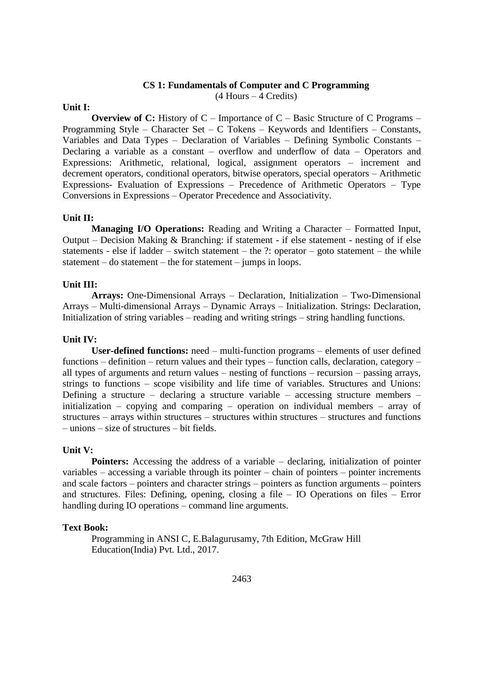### **CS 1: Fundamentals of Computer and C Programming** (4 Hours – 4 Credits)

### **Unit I:**

**Overview of C:** History of C – Importance of C – Basic Structure of C Programs – Programming Style – Character Set – C Tokens – Keywords and Identifiers – Constants, Variables and Data Types – Declaration of Variables – Defining Symbolic Constants – Declaring a variable as a constant – overflow and underflow of data – Operators and Expressions: Arithmetic, relational, logical, assignment operators – increment and decrement operators, conditional operators, bitwise operators, special operators – Arithmetic Expressions- Evaluation of Expressions – Precedence of Arithmetic Operators – Type Conversions in Expressions – Operator Precedence and Associativity.

### **Unit II:**

**Managing I/O Operations:** Reading and Writing a Character – Formatted Input, Output – Decision Making & Branching: if statement - if else statement - nesting of if else statements - else if ladder – switch statement – the ?: operator – goto statement – the while statement – do statement – the for statement – jumps in loops.

### **Unit III:**

**Arrays:** One-Dimensional Arrays – Declaration, Initialization – Two-Dimensional Arrays – Multi-dimensional Arrays – Dynamic Arrays – Initialization. Strings: Declaration, Initialization of string variables – reading and writing strings – string handling functions.

### **Unit IV:**

**User-defined functions:** need – multi-function programs – elements of user defined functions – definition – return values and their types – function calls, declaration, category – all types of arguments and return values – nesting of functions – recursion – passing arrays, strings to functions – scope visibility and life time of variables. Structures and Unions: Defining a structure – declaring a structure variable – accessing structure members – initialization – copying and comparing – operation on individual members – array of structures – arrays within structures – structures within structures – structures and functions – unions – size of structures – bit fields.

#### **Unit V:**

Pointers: Accessing the address of a variable – declaring, initialization of pointer variables – accessing a variable through its pointer – chain of pointers – pointer increments and scale factors – pointers and character strings – pointers as function arguments – pointers and structures. Files: Defining, opening, closing a file – IO Operations on files – Error handling during IO operations – command line arguments.

#### **Text Book:**

Programming in ANSI C, E.Balagurusamy, 7th Edition, McGraw Hill Education(India) Pvt. Ltd., 2017.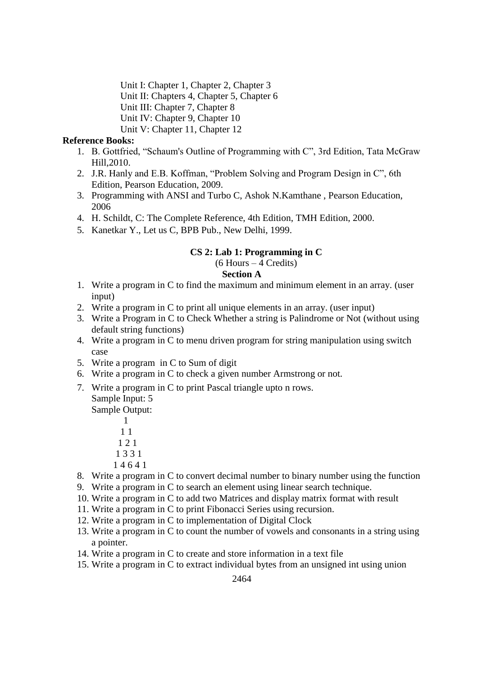Unit I: Chapter 1, Chapter 2, Chapter 3 Unit II: Chapters 4, Chapter 5, Chapter 6 Unit III: Chapter 7, Chapter 8 Unit IV: Chapter 9, Chapter 10 Unit V: Chapter 11, Chapter 12

# **Reference Books:**

- 1. B. Gottfried, "Schaum's Outline of Programming with C", 3rd Edition, Tata McGraw Hill,2010.
- 2. J.R. Hanly and E.B. Koffman, "Problem Solving and Program Design in C", 6th Edition, Pearson Education, 2009.
- 3. Programming with ANSI and Turbo C, Ashok N.Kamthane , Pearson Education, 2006
- 4. H. Schildt, C: The Complete Reference, 4th Edition, TMH Edition, 2000.
- 5. Kanetkar Y., Let us C, BPB Pub., New Delhi, 1999.

### **CS 2: Lab 1: Programming in C** (6 Hours – 4 Credits) **Section A**

- 1. Write a program in C to find the maximum and minimum element in an array. (user input)
- 2. Write a program in C to print all unique elements in an array. (user input)
- 3. Write a Program in C to Check Whether a string is Palindrome or Not (without using default string functions)
- 4. Write a program in C to menu driven program for string manipulation using switch case
- 5. Write a program in C to Sum of digit
- 6. Write a program in C to check a given number Armstrong or not.
- 7. Write a program in C to print Pascal triangle upto n rows. Sample Input: 5

Sample Output:

- 1 1 1 1 2 1 1 3 3 1
- 1 4 6 4 1
- 8. Write a program in C to convert decimal number to binary number using the function
- 9. Write a program in C to search an element using linear search technique.
- 10. Write a program in C to add two Matrices and display matrix format with result
- 11. Write a program in C to print Fibonacci Series using recursion.
- 12. Write a program in C to implementation of Digital Clock
- 13. Write a program in C to count the number of vowels and consonants in a string using a pointer.
- 14. Write a program in C to create and store information in a text file
- 15. Write a program in C to extract individual bytes from an unsigned int using union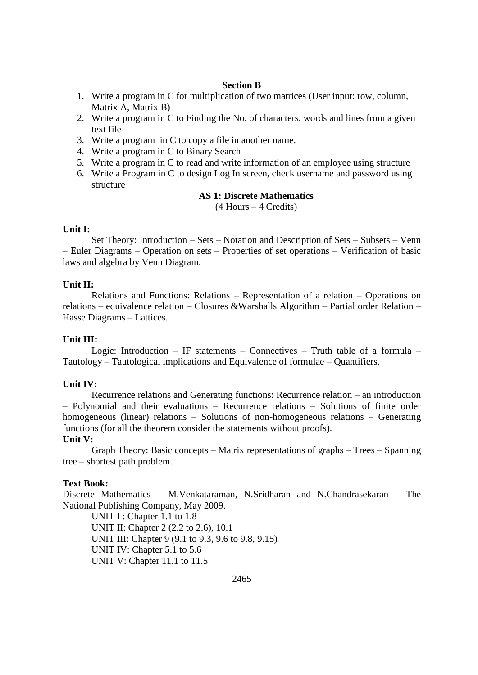# **Section B**

- 1. Write a program in C for multiplication of two matrices (User input: row, column, Matrix A, Matrix B)
- 2. Write a program in C to Finding the No. of characters, words and lines from a given text file
- 3. Write a program in C to copy a file in another name.
- 4. Write a program in C to Binary Search
- 5. Write a program in C to read and write information of an employee using structure
- 6. Write a Program in C to design Log In screen, check username and password using structure

# **AS 1: Discrete Mathematics**

(4 Hours – 4 Credits)

### **Unit I:**

Set Theory: Introduction – Sets – Notation and Description of Sets – Subsets – Venn – Euler Diagrams – Operation on sets – Properties of set operations – Verification of basic laws and algebra by Venn Diagram.

# **Unit II:**

Relations and Functions: Relations – Representation of a relation – Operations on relations – equivalence relation – Closures &Warshalls Algorithm – Partial order Relation – Hasse Diagrams – Lattices.

# **Unit III:**

Logic: Introduction – IF statements – Connectives – Truth table of a formula – Tautology – Tautological implications and Equivalence of formulae – Quantifiers.

# **Unit IV:**

Recurrence relations and Generating functions: Recurrence relation – an introduction – Polynomial and their evaluations – Recurrence relations – Solutions of finite order homogeneous (linear) relations – Solutions of non-homogeneous relations – Generating functions (for all the theorem consider the statements without proofs).

# **Unit V:**

Graph Theory: Basic concepts – Matrix representations of graphs – Trees – Spanning tree – shortest path problem.

# **Text Book:**

Discrete Mathematics – M.Venkataraman, N.Sridharan and N.Chandrasekaran – The National Publishing Company, May 2009.

UNIT I : Chapter 1.1 to 1.8 UNIT II: Chapter 2 (2.2 to 2.6), 10.1 UNIT III: Chapter 9 (9.1 to 9.3, 9.6 to 9.8, 9.15) UNIT IV: Chapter 5.1 to 5.6 UNIT V: Chapter 11.1 to 11.5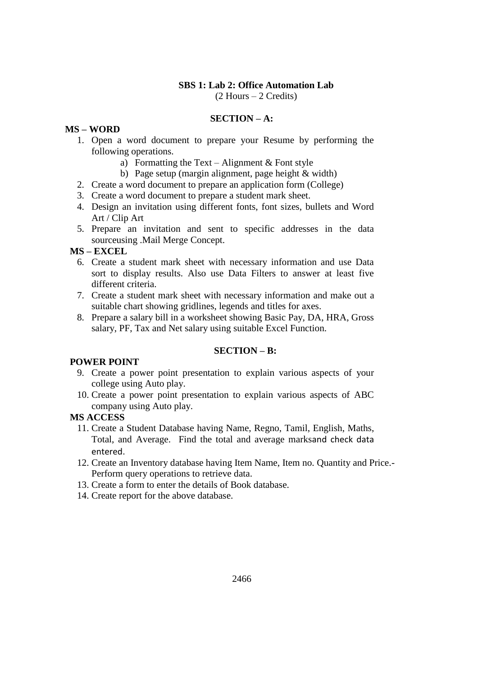### **SBS 1: Lab 2: Office Automation Lab** (2 Hours – 2 Credits)

# **SECTION – A:**

# **MS – WORD**

- 1. Open a word document to prepare your Resume by performing the following operations.
	- a) Formatting the Text Alignment  $&$  Font style
	- b) Page setup (margin alignment, page height & width)
- 2. Create a word document to prepare an application form (College)
- 3. Create a word document to prepare a student mark sheet.
- 4. Design an invitation using different fonts, font sizes, bullets and Word Art / Clip Art
- 5. Prepare an invitation and sent to specific addresses in the data sourceusing .Mail Merge Concept.

# **MS – EXCEL**

- 6. Create a student mark sheet with necessary information and use Data sort to display results. Also use Data Filters to answer at least five different criteria.
- 7. Create a student mark sheet with necessary information and make out a suitable chart showing gridlines, legends and titles for axes.
- 8. Prepare a salary bill in a worksheet showing Basic Pay, DA, HRA, Gross salary, PF, Tax and Net salary using suitable Excel Function.

# **SECTION – B:**

# **POWER POINT**

- 9. Create a power point presentation to explain various aspects of your college using Auto play.
- 10. Create a power point presentation to explain various aspects of ABC company using Auto play.

# **MS ACCESS**

- 11. Create a Student Database having Name, Regno, Tamil, English, Maths, Total, and Average. Find the total and average marksand check data entered.
- 12. Create an Inventory database having Item Name, Item no. Quantity and Price.- Perform query operations to retrieve data.
- 13. Create a form to enter the details of Book database.
- 14. Create report for the above database.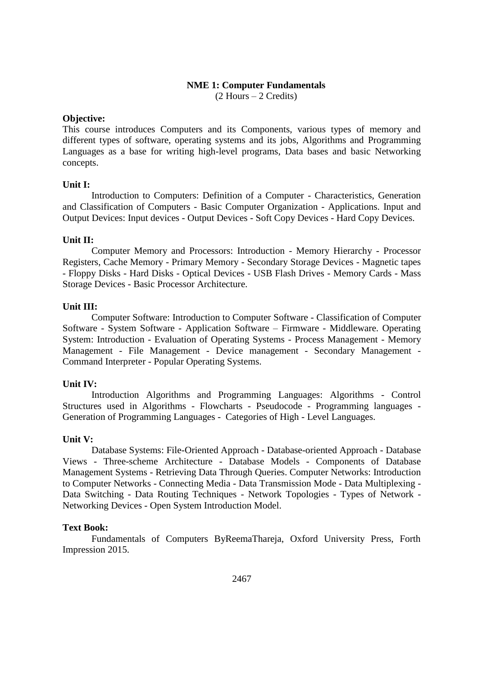### **NME 1: Computer Fundamentals** (2 Hours – 2 Credits)

### **Objective:**

This course introduces Computers and its Components, various types of memory and different types of software, operating systems and its jobs, Algorithms and Programming Languages as a base for writing high-level programs, Data bases and basic Networking concepts.

### **Unit I:**

Introduction to Computers: Definition of a Computer - Characteristics, Generation and Classification of Computers - Basic Computer Organization - Applications. Input and Output Devices: Input devices - Output Devices - Soft Copy Devices - Hard Copy Devices.

# **Unit II:**

Computer Memory and Processors: Introduction - Memory Hierarchy - Processor Registers, Cache Memory - Primary Memory - Secondary Storage Devices - Magnetic tapes - Floppy Disks - Hard Disks - Optical Devices - USB Flash Drives - Memory Cards - Mass Storage Devices - Basic Processor Architecture.

### **Unit III:**

Computer Software: Introduction to Computer Software - Classification of Computer Software - System Software - Application Software – Firmware - Middleware. Operating System: Introduction - Evaluation of Operating Systems - Process Management - Memory Management - File Management - Device management - Secondary Management - Command Interpreter - Popular Operating Systems.

# **Unit IV:**

Introduction Algorithms and Programming Languages: Algorithms - Control Structures used in Algorithms - Flowcharts - Pseudocode - Programming languages - Generation of Programming Languages - Categories of High - Level Languages.

#### **Unit V:**

Database Systems: File-Oriented Approach - Database-oriented Approach - Database Views - Three-scheme Architecture - Database Models - Components of Database Management Systems - Retrieving Data Through Queries. Computer Networks: Introduction to Computer Networks - Connecting Media - Data Transmission Mode - Data Multiplexing - Data Switching - Data Routing Techniques - Network Topologies - Types of Network - Networking Devices - Open System Introduction Model.

#### **Text Book:**

Fundamentals of Computers ByReemaThareja, Oxford University Press, Forth Impression 2015.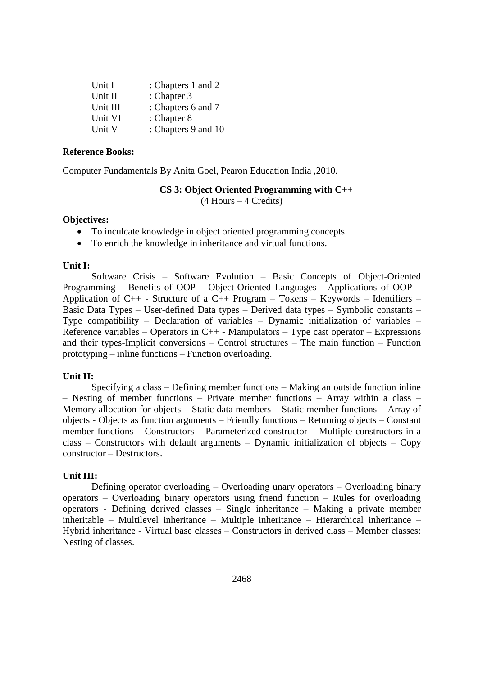| Unit I   | : Chapters 1 and 2  |
|----------|---------------------|
| Unit II  | : Chapter 3         |
| Unit III | : Chapters 6 and 7  |
| Unit VI  | : Chapter 8         |
| Unit V   | : Chapters 9 and 10 |

#### **Reference Books:**

Computer Fundamentals By Anita Goel, Pearon Education India ,2010.

# **CS 3: Object Oriented Programming with C++**

(4 Hours – 4 Credits)

### **Objectives:**

- To inculcate knowledge in object oriented programming concepts.
- To enrich the knowledge in inheritance and virtual functions.

### **Unit I:**

Software Crisis – Software Evolution – Basic Concepts of Object-Oriented Programming – Benefits of OOP – Object-Oriented Languages - Applications of OOP – Application of  $C_{++}$  - Structure of a  $C_{++}$  Program – Tokens – Keywords – Identifiers – Basic Data Types – User-defined Data types – Derived data types – Symbolic constants – Type compatibility – Declaration of variables – Dynamic initialization of variables – Reference variables – Operators in  $C_{++}$  - Manipulators – Type cast operator – Expressions and their types-Implicit conversions – Control structures – The main function – Function prototyping – inline functions – Function overloading.

#### **Unit II:**

Specifying a class – Defining member functions – Making an outside function inline – Nesting of member functions – Private member functions – Array within a class – Memory allocation for objects – Static data members – Static member functions – Array of objects - Objects as function arguments – Friendly functions – Returning objects – Constant member functions – Constructors – Parameterized constructor – Multiple constructors in a class – Constructors with default arguments – Dynamic initialization of objects – Copy constructor – Destructors.

# **Unit III:**

Defining operator overloading – Overloading unary operators – Overloading binary operators – Overloading binary operators using friend function – Rules for overloading operators - Defining derived classes – Single inheritance – Making a private member inheritable – Multilevel inheritance – Multiple inheritance – Hierarchical inheritance – Hybrid inheritance - Virtual base classes – Constructors in derived class – Member classes: Nesting of classes.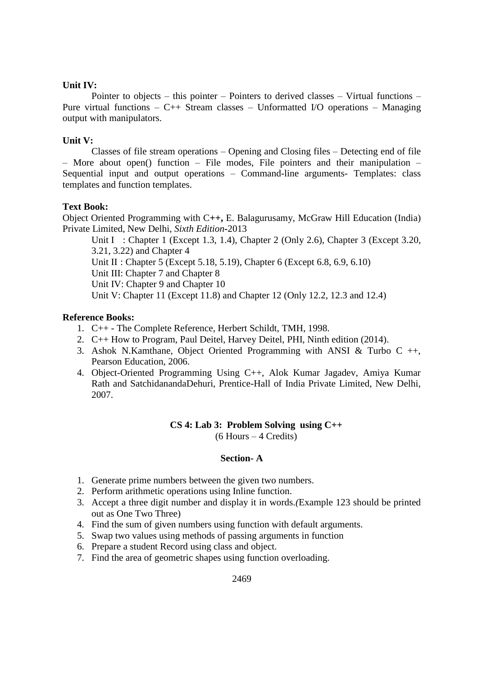# **Unit IV:**

Pointer to objects – this pointer – Pointers to derived classes – Virtual functions – Pure virtual functions – C++ Stream classes – Unformatted I/O operations – Managing output with manipulators.

# **Unit V:**

Classes of file stream operations – Opening and Closing files – Detecting end of file – More about open() function – File modes, File pointers and their manipulation – Sequential input and output operations – Command-line arguments- Templates: class templates and function templates.

# **Text Book:**

Object Oriented Programming with C**++,** E. Balagurusamy, McGraw Hill Education (India) Private Limited, New Delhi, *Sixth Edition-*2013

Unit I : Chapter 1 (Except 1.3, 1.4), Chapter 2 (Only 2.6), Chapter 3 (Except 3.20, 3.21, 3.22) and Chapter 4

Unit II : Chapter 5 (Except 5.18, 5.19), Chapter 6 (Except 6.8, 6.9, 6.10)

Unit III: Chapter 7 and Chapter 8

Unit IV: Chapter 9 and Chapter 10

Unit V: Chapter 11 (Except 11.8) and Chapter 12 (Only 12.2, 12.3 and 12.4)

# **Reference Books:**

- 1. C++ The Complete Reference, Herbert Schildt, TMH, 1998.
- 2. C++ How to Program, Paul Deitel, Harvey Deitel, PHI, Ninth edition (2014).
- 3. Ashok N.Kamthane, Object Oriented Programming with ANSI & Turbo C ++, Pearson Education, 2006.
- 4. Object-Oriented Programming Using C++, Alok Kumar Jagadev, Amiya Kumar Rath and SatchidanandaDehuri, Prentice-Hall of India Private Limited, New Delhi, 2007.

# **CS 4: Lab 3: Problem Solving using C++** (6 Hours – 4 Credits)

#### **Section- A**

- 1. Generate prime numbers between the given two numbers.
- 2. Perform arithmetic operations using Inline function.
- 3. Accept a three digit number and display it in words.*(*Example 123 should be printed out as One Two Three)
- 4. Find the sum of given numbers using function with default arguments.
- 5. Swap two values using methods of passing arguments in function
- 6. Prepare a student Record using class and object.
- 7. Find the area of geometric shapes using function overloading.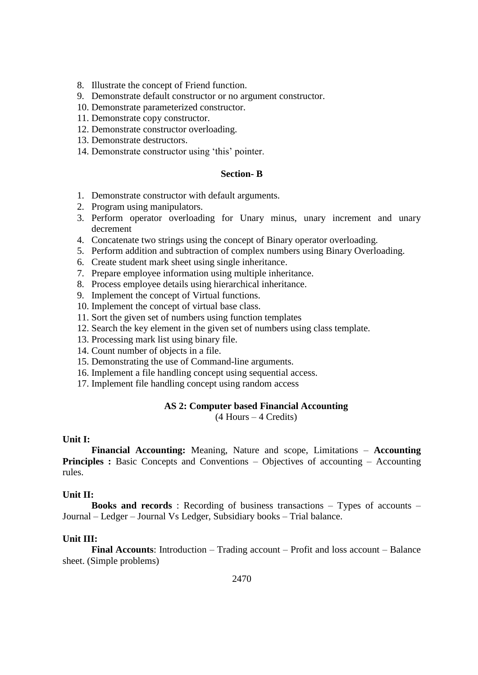- 8. Illustrate the concept of Friend function.
- 9. Demonstrate default constructor or no argument constructor.
- 10. Demonstrate parameterized constructor.
- 11. Demonstrate copy constructor.
- 12. Demonstrate constructor overloading.
- 13. Demonstrate destructors.
- 14. Demonstrate constructor using 'this' pointer.

# **Section- B**

- 1. Demonstrate constructor with default arguments.
- 2. Program using manipulators.
- 3. Perform operator overloading for Unary minus, unary increment and unary decrement
- 4. Concatenate two strings using the concept of Binary operator overloading.
- 5. Perform addition and subtraction of complex numbers using Binary Overloading.
- 6. Create student mark sheet using single inheritance.
- 7. Prepare employee information using multiple inheritance.
- 8. Process employee details using hierarchical inheritance.
- 9. Implement the concept of Virtual functions.
- 10. Implement the concept of virtual base class.
- 11. Sort the given set of numbers using function templates
- 12. Search the key element in the given set of numbers using class template.
- 13. Processing mark list using binary file.
- 14. Count number of objects in a file.
- 15. Demonstrating the use of Command-line arguments.
- 16. Implement a file handling concept using sequential access.
- 17. Implement file handling concept using random access

# **AS 2: Computer based Financial Accounting**

(4 Hours – 4 Credits)

#### **Unit I:**

**Financial Accounting:** Meaning, Nature and scope, Limitations – **Accounting Principles :** Basic Concepts and Conventions – Objectives of accounting – Accounting rules.

# **Unit II:**

**Books and records** : Recording of business transactions – Types of accounts – Journal – Ledger – Journal Vs Ledger, Subsidiary books – Trial balance.

# **Unit III:**

**Final Accounts**: Introduction – Trading account – Profit and loss account – Balance sheet. (Simple problems)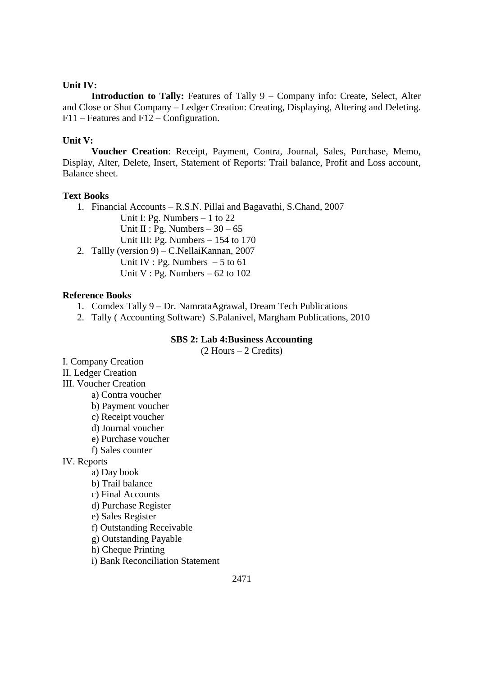# **Unit IV:**

**Introduction to Tally:** Features of Tally 9 – Company info: Create, Select, Alter and Close or Shut Company – Ledger Creation: Creating, Displaying, Altering and Deleting. F11 – Features and F12 – Configuration.

# **Unit V:**

**Voucher Creation**: Receipt, Payment, Contra, Journal, Sales, Purchase, Memo, Display, Alter, Delete, Insert, Statement of Reports: Trail balance, Profit and Loss account, Balance sheet.

# **Text Books**

1. Financial Accounts – R.S.N. Pillai and Bagavathi, S.Chand, 2007 Unit I: Pg. Numbers – 1 to 22 Unit II : Pg. Numbers  $-30 - 65$ Unit III: Pg. Numbers – 154 to 170 2. Tallly (version 9) – C.NellaiKannan, 2007 Unit IV : Pg. Numbers  $-5$  to 61

Unit V : Pg. Numbers – 62 to 102

# **Reference Books**

1. Comdex Tally 9 – Dr. NamrataAgrawal, Dream Tech Publications

2. Tally ( Accounting Software) S.Palanivel, Margham Publications, 2010

# **SBS 2: Lab 4:Business Accounting**

(2 Hours – 2 Credits)

I. Company Creation II. Ledger Creation III. Voucher Creation a) Contra voucher b) Payment voucher c) Receipt voucher d) Journal voucher e) Purchase voucher f) Sales counter IV. Reports a) Day book b) Trail balance c) Final Accounts d) Purchase Register e) Sales Register f) Outstanding Receivable g) Outstanding Payable h) Cheque Printing

i) Bank Reconciliation Statement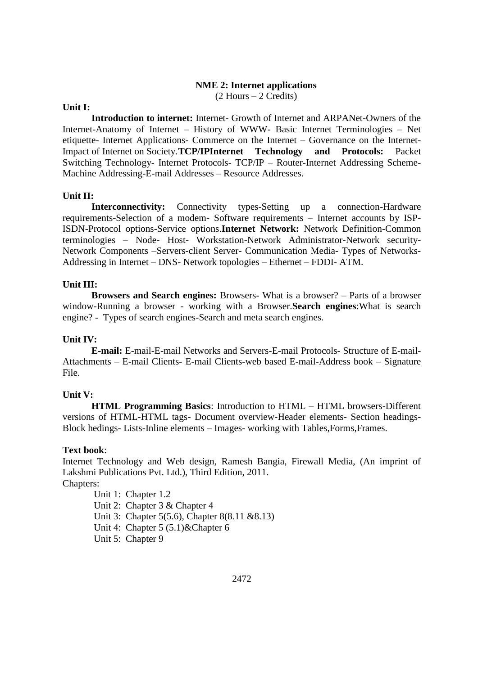#### **NME 2: Internet applications** (2 Hours – 2 Credits)

### **Unit I:**

**Introduction to internet:** Internet- Growth of Internet and ARPANet-Owners of the Internet-Anatomy of Internet – History of WWW- Basic Internet Terminologies – Net etiquette- Internet Applications- Commerce on the Internet – Governance on the Internet-Impact of Internet on Society.**TCP/IPInternet Technology and Protocols:** Packet Switching Technology- Internet Protocols- TCP/IP – Router-Internet Addressing Scheme-Machine Addressing-E-mail Addresses – Resource Addresses.

# **Unit II:**

**Interconnectivity:** Connectivity types-Setting up a connection-Hardware requirements-Selection of a modem- Software requirements – Internet accounts by ISP-ISDN-Protocol options-Service options.**Internet Network:** Network Definition-Common terminologies – Node- Host- Workstation-Network Administrator-Network security-Network Components –Servers-client Server- Communication Media- Types of Networks-Addressing in Internet – DNS- Network topologies – Ethernet – FDDI- ATM.

# **Unit III:**

**Browsers and Search engines:** Browsers- What is a browser? – Parts of a browser window-Running a browser - working with a Browser.**Search engines**:What is search engine? - Types of search engines-Search and meta search engines.

# **Unit IV:**

**E-mail:** E-mail-E-mail Networks and Servers-E-mail Protocols- Structure of E-mail-Attachments – E-mail Clients- E-mail Clients-web based E-mail-Address book – Signature File.

# **Unit V:**

**HTML Programming Basics**: Introduction to HTML – HTML browsers-Different versions of HTML-HTML tags- Document overview-Header elements- Section headings-Block hedings- Lists-Inline elements – Images- working with Tables,Forms,Frames.

# **Text book**:

Internet Technology and Web design, Ramesh Bangia, Firewall Media, (An imprint of Lakshmi Publications Pvt. Ltd.), Third Edition, 2011. Chapters:

Unit 1: Chapter 1.2 Unit 2: Chapter 3 & Chapter 4 Unit 3: Chapter 5(5.6), Chapter 8(8.11 &8.13) Unit 4: Chapter 5 (5.1)&Chapter 6 Unit 5: Chapter 9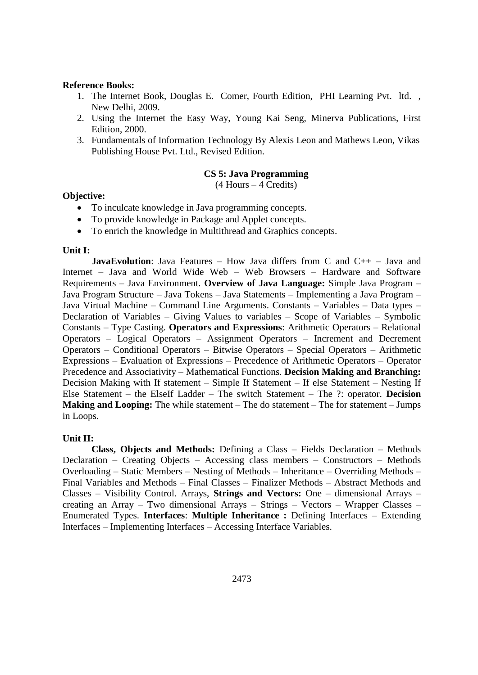#### **Reference Books:**

- 1. The Internet Book, Douglas E. Comer, Fourth Edition, PHI Learning Pvt. ltd. , New Delhi, 2009.
- 2. Using the Internet the Easy Way, Young Kai Seng, Minerva Publications, First Edition, 2000.
- 3. Fundamentals of Information Technology By Alexis Leon and Mathews Leon, Vikas Publishing House Pvt. Ltd., Revised Edition.

### **CS 5: Java Programming**

(4 Hours – 4 Credits)

#### **Objective:**

- To inculcate knowledge in Java programming concepts.
- To provide knowledge in Package and Applet concepts.
- To enrich the knowledge in Multithread and Graphics concepts.

#### **Unit I:**

**JavaEvolution**: Java Features – How Java differs from C and C++ – Java and Internet – Java and World Wide Web – Web Browsers – Hardware and Software Requirements – Java Environment. **Overview of Java Language:** Simple Java Program – Java Program Structure – Java Tokens – Java Statements – Implementing a Java Program – Java Virtual Machine – Command Line Arguments. Constants – Variables – Data types – Declaration of Variables – Giving Values to variables – Scope of Variables – Symbolic Constants – Type Casting. **Operators and Expressions**: Arithmetic Operators – Relational Operators – Logical Operators – Assignment Operators – Increment and Decrement Operators – Conditional Operators – Bitwise Operators – Special Operators – Arithmetic Expressions – Evaluation of Expressions – Precedence of Arithmetic Operators – Operator Precedence and Associativity – Mathematical Functions. **Decision Making and Branching:** Decision Making with If statement – Simple If Statement – If else Statement – Nesting If Else Statement – the ElseIf Ladder – The switch Statement – The ?: operator. **Decision Making and Looping:** The while statement – The do statement – The for statement – Jumps in Loops.

#### **Unit II:**

**Class, Objects and Methods:** Defining a Class – Fields Declaration – Methods Declaration – Creating Objects – Accessing class members – Constructors – Methods Overloading – Static Members – Nesting of Methods – Inheritance – Overriding Methods – Final Variables and Methods – Final Classes – Finalizer Methods – Abstract Methods and Classes – Visibility Control. Arrays, **Strings and Vectors:** One – dimensional Arrays – creating an Array – Two dimensional Arrays – Strings – Vectors – Wrapper Classes – Enumerated Types. **Interfaces**: **Multiple Inheritance :** Defining Interfaces – Extending Interfaces – Implementing Interfaces – Accessing Interface Variables.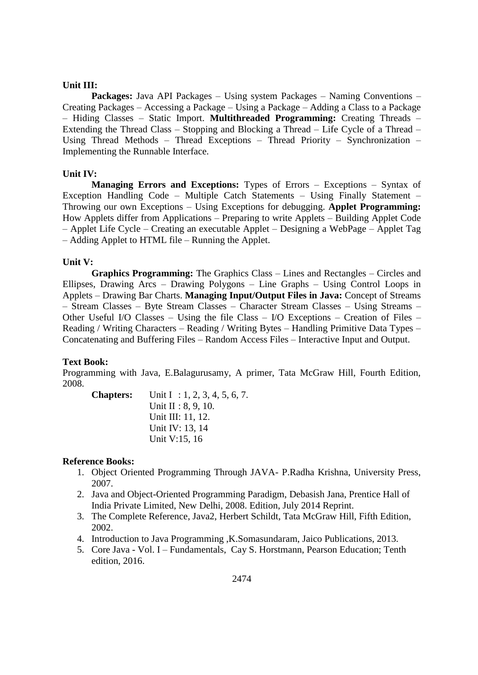# **Unit III:**

**Packages:** Java API Packages – Using system Packages – Naming Conventions – Creating Packages – Accessing a Package – Using a Package – Adding a Class to a Package – Hiding Classes – Static Import. **Multithreaded Programming:** Creating Threads – Extending the Thread Class – Stopping and Blocking a Thread – Life Cycle of a Thread – Using Thread Methods – Thread Exceptions – Thread Priority – Synchronization – Implementing the Runnable Interface.

# **Unit IV:**

**Managing Errors and Exceptions:** Types of Errors – Exceptions – Syntax of Exception Handling Code – Multiple Catch Statements – Using Finally Statement – Throwing our own Exceptions – Using Exceptions for debugging. **Applet Programming:** How Applets differ from Applications – Preparing to write Applets – Building Applet Code – Applet Life Cycle – Creating an executable Applet – Designing a WebPage – Applet Tag – Adding Applet to HTML file – Running the Applet.

# **Unit V:**

**Graphics Programming:** The Graphics Class – Lines and Rectangles – Circles and Ellipses, Drawing Arcs – Drawing Polygons – Line Graphs – Using Control Loops in Applets – Drawing Bar Charts. **Managing Input/Output Files in Java:** Concept of Streams – Stream Classes – Byte Stream Classes – Character Stream Classes – Using Streams – Other Useful I/O Classes – Using the file Class – I/O Exceptions – Creation of Files – Reading / Writing Characters – Reading / Writing Bytes – Handling Primitive Data Types – Concatenating and Buffering Files – Random Access Files – Interactive Input and Output.

# **Text Book:**

Programming with Java, E.Balagurusamy, A primer, Tata McGraw Hill, Fourth Edition, 2008.

| <b>Chapters:</b> | Unit I : 1, 2, 3, 4, 5, 6, 7. |
|------------------|-------------------------------|
|                  | Unit $II: 8, 9, 10.$          |
|                  | Unit III: 11, 12.             |
|                  | Unit IV: 13, 14               |
|                  | Unit V:15, 16                 |

# **Reference Books:**

- 1. Object Oriented Programming Through JAVA- P.Radha Krishna, University Press, 2007.
- 2. Java and Object-Oriented Programming Paradigm, Debasish Jana, Prentice Hall of India Private Limited, New Delhi, 2008. Edition, July 2014 Reprint.
- 3. The Complete Reference, Java2, Herbert Schildt, Tata McGraw Hill, Fifth Edition, 2002.
- 4. Introduction to Java Programming ,K.Somasundaram, Jaico Publications, 2013.
- 5. Core Java Vol. I Fundamentals, Cay S. Horstmann, Pearson Education; Tenth edition, 2016.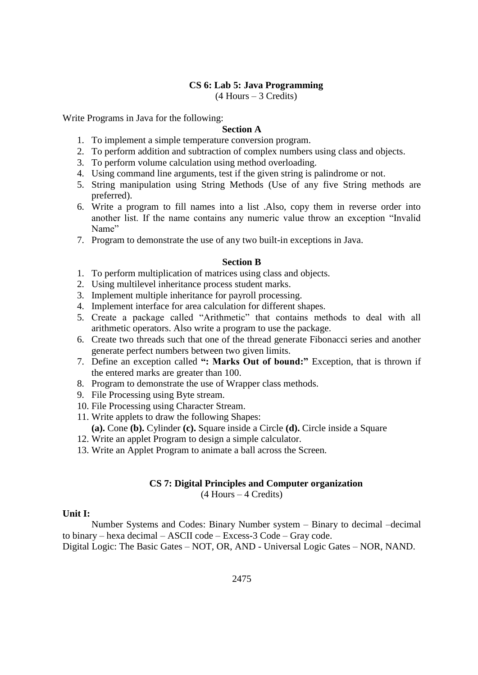# **CS 6: Lab 5: Java Programming**

(4 Hours – 3 Credits)

Write Programs in Java for the following:

# **Section A**

- 1. To implement a simple temperature conversion program.
- 2. To perform addition and subtraction of complex numbers using class and objects.
- 3. To perform volume calculation using method overloading.
- 4. Using command line arguments, test if the given string is palindrome or not.
- 5. String manipulation using String Methods (Use of any five String methods are preferred).
- 6. Write a program to fill names into a list .Also, copy them in reverse order into another list. If the name contains any numeric value throw an exception "Invalid Name"
- 7. Program to demonstrate the use of any two built-in exceptions in Java.

# **Section B**

- 1. To perform multiplication of matrices using class and objects.
- 2. Using multilevel inheritance process student marks.
- 3. Implement multiple inheritance for payroll processing.
- 4. Implement interface for area calculation for different shapes.
- 5. Create a package called "Arithmetic" that contains methods to deal with all arithmetic operators. Also write a program to use the package.
- 6. Create two threads such that one of the thread generate Fibonacci series and another generate perfect numbers between two given limits.
- 7. Define an exception called **": Marks Out of bound:"** Exception, that is thrown if the entered marks are greater than 100.
- 8. Program to demonstrate the use of Wrapper class methods.
- 9. File Processing using Byte stream.
- 10. File Processing using Character Stream.
- 11. Write applets to draw the following Shapes: **(a).** Cone **(b).** Cylinder **(c).** Square inside a Circle **(d).** Circle inside a Square
- 12. Write an applet Program to design a simple calculator.
- 13. Write an Applet Program to animate a ball across the Screen.

### **CS 7: Digital Principles and Computer organization**

(4 Hours – 4 Credits)

#### **Unit I:**

Number Systems and Codes: Binary Number system – Binary to decimal –decimal to binary – hexa decimal – ASCII code – Excess-3 Code – Gray code.

Digital Logic: The Basic Gates – NOT, OR, AND - Universal Logic Gates – NOR, NAND.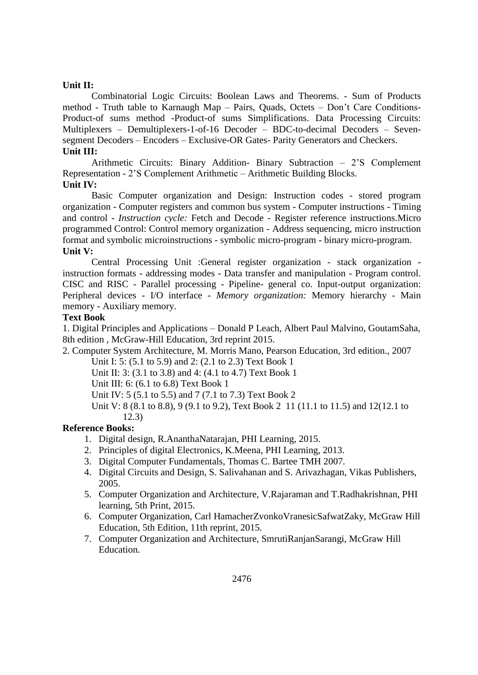# **Unit II:**

Combinatorial Logic Circuits: Boolean Laws and Theorems. - Sum of Products method - Truth table to Karnaugh Map – Pairs, Quads, Octets – Don"t Care Conditions-Product-of sums method -Product-of sums Simplifications. Data Processing Circuits: Multiplexers – Demultiplexers-1-of-16 Decoder – BDC-to-decimal Decoders – Sevensegment Decoders – Encoders – Exclusive-OR Gates- Parity Generators and Checkers.

# **Unit III:**

Arithmetic Circuits: Binary Addition- Binary Subtraction – 2"S Complement Representation - 2"S Complement Arithmetic – Arithmetic Building Blocks. **Unit IV:**

Basic Computer organization and Design: Instruction codes - stored program organization - Computer registers and common bus system - Computer instructions - Timing and control - *Instruction cycle:* Fetch and Decode - Register reference instructions.Micro programmed Control: Control memory organization - Address sequencing, micro instruction format and symbolic microinstructions - symbolic micro-program - binary micro-program. **Unit V:**

Central Processing Unit :General register organization - stack organization instruction formats - addressing modes - Data transfer and manipulation - Program control. CISC and RISC - Parallel processing - Pipeline- general co. Input-output organization: Peripheral devices - I/O interface - *Memory organization:* Memory hierarchy - Main memory - Auxiliary memory.

### **Text Book**

1. Digital Principles and Applications – Donald P Leach, Albert Paul Malvino, GoutamSaha, 8th edition , McGraw-Hill Education, 3rd reprint 2015.

2. Computer System Architecture, M. Morris Mano, Pearson Education, 3rd edition., 2007 Unit I: 5: (5.1 to 5.9) and 2: (2.1 to 2.3) Text Book 1

Unit II: 3: (3.1 to 3.8) and 4: (4.1 to 4.7) Text Book 1

Unit III: 6: (6.1 to 6.8) Text Book 1

Unit IV: 5 (5.1 to 5.5) and 7 (7.1 to 7.3) Text Book 2

Unit V: 8 (8.1 to 8.8), 9 (9.1 to 9.2), Text Book 2 11 (11.1 to 11.5) and 12(12.1 to 12.3)

# **Reference Books:**

- 1. Digital design, R.AnanthaNatarajan, PHI Learning, 2015.
- 2. Principles of digital Electronics, K.Meena, PHI Learning, 2013.
- 3. Digital Computer Fundamentals, Thomas C. Bartee TMH 2007.
- 4. Digital Circuits and Design, S. Salivahanan and S. Arivazhagan, Vikas Publishers, 2005.
- 5. Computer Organization and Architecture, V.Rajaraman and T.Radhakrishnan, PHI learning, 5th Print, 2015.
- 6. Computer Organization, Carl HamacherZvonkoVranesicSafwatZaky, McGraw Hill Education, 5th Edition, 11th reprint, 2015.
- 7. Computer Organization and Architecture, SmrutiRanjanSarangi, McGraw Hill Education.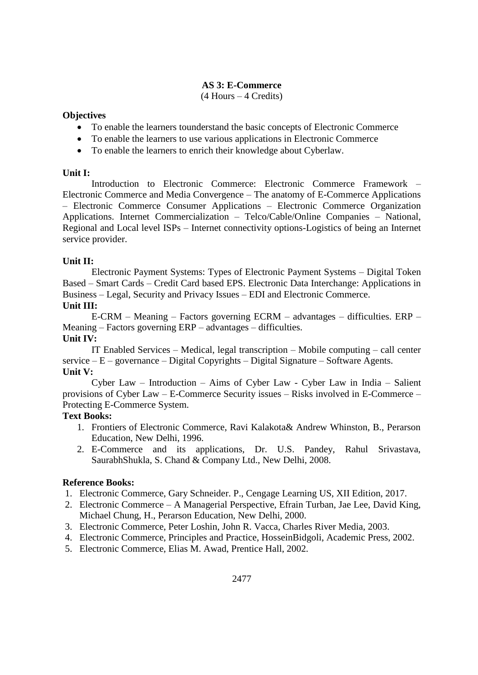# **AS 3: E-Commerce**

(4 Hours – 4 Credits)

# **Objectives**

- To enable the learners tounderstand the basic concepts of Electronic Commerce
- To enable the learners to use various applications in Electronic Commerce
- To enable the learners to enrich their knowledge about Cyberlaw.

# **Unit I:**

Introduction to Electronic Commerce: Electronic Commerce Framework – Electronic Commerce and Media Convergence – The anatomy of E-Commerce Applications – Electronic Commerce Consumer Applications – Electronic Commerce Organization Applications. Internet Commercialization – Telco/Cable/Online Companies – National, Regional and Local level ISPs – Internet connectivity options-Logistics of being an Internet service provider.

# **Unit II:**

Electronic Payment Systems: Types of Electronic Payment Systems – Digital Token Based – Smart Cards – Credit Card based EPS. Electronic Data Interchange: Applications in Business – Legal, Security and Privacy Issues – EDI and Electronic Commerce.

# **Unit III:**

E-CRM – Meaning – Factors governing ECRM – advantages – difficulties. ERP – Meaning – Factors governing ERP – advantages – difficulties.

# **Unit IV:**

IT Enabled Services – Medical, legal transcription – Mobile computing – call center service  $-E$  – governance – Digital Copyrights – Digital Signature – Software Agents. **Unit V:**

Cyber Law – Introduction – Aims of Cyber Law - Cyber Law in India – Salient provisions of Cyber Law – E-Commerce Security issues – Risks involved in E-Commerce – Protecting E-Commerce System.

# **Text Books:**

- 1. Frontiers of Electronic Commerce, Ravi Kalakota& Andrew Whinston, B., Perarson Education, New Delhi, 1996.
- 2. E-Commerce and its applications, Dr. U.S. Pandey, Rahul Srivastava, SaurabhShukla, S. Chand & Company Ltd., New Delhi, 2008.

# **Reference Books:**

- 1. Electronic Commerce, Gary Schneider. P., Cengage Learning US, XII Edition, 2017.
- 2. Electronic Commerce A Managerial Perspective, Efrain Turban, Jae Lee, David King, Michael Chung, H., Perarson Education, New Delhi, 2000.
- 3. Electronic Commerce, Peter Loshin, John R. Vacca, Charles River Media, 2003.
- 4. Electronic Commerce, Principles and Practice, HosseinBidgoli, Academic Press, 2002.
- 5. Electronic Commerce, Elias M. Awad, Prentice Hall, 2002.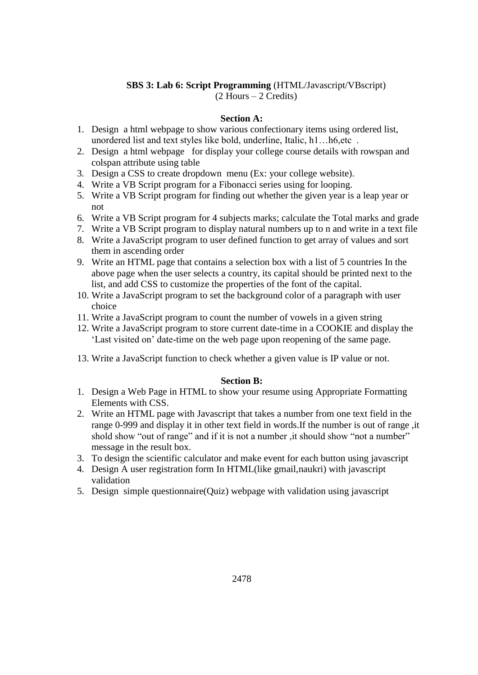# **SBS 3: Lab 6: Script Programming** (HTML/Javascript/VBscript) (2 Hours – 2 Credits)

# **Section A:**

- 1. Design a html webpage to show various confectionary items using ordered list, unordered list and text styles like bold, underline, Italic, h1...h6,etc.
- 2. [Design a html webpage](https://www.w3resource.com/html-css-exercise/table.php) for display your college course details with rowspan and colspan attribute using table
- 3. Design a CSS to create dropdown menu (Ex: your college website).
- 4. Write a VB Script program for a Fibonacci series using for looping.
- 5. Write a VB Script program for finding out whether the given year is a leap year or not
- 6. Write a VB Script program for 4 subjects marks; calculate the Total marks and grade
- 7. Write a VB Script program to display natural numbers up to n and write in a text file
- 8. Write a JavaScript program to user defined function to get array of values and sort them in ascending order
- 9. Write an HTML page that contains a selection box with a list of 5 countries In the above page when the user selects a country, its capital should be printed next to the list, and add CSS to customize the properties of the font of the capital.
- 10. Write a JavaScript program to set the background color of a paragraph with user choice
- 11. Write a JavaScript program to count the number of vowels in a given string
- 12. Write a JavaScript program to store current date-time in a COOKIE and display the "Last visited on" date-time on the web page upon reopening of the same page.
- 13. Write a JavaScript function to check whether a given value is IP value or not.

# **Section B:**

- 1. Design a Web Page in HTML to show your resume using Appropriate Formatting Elements with CSS.
- 2. Write an HTML page with Javascript that takes a number from one text field in the range 0-999 and display it in other text field in words.If the number is out of range ,it shold show "out of range" and if it is not a number, it should show "not a number" message in the result box.
- 3. To design the scientific calculator and make event for each button using javascript
- 4. Design A user registration form In HTML(like gmail,naukri) with javascript validation
- 5. Design simple questionnaire(Quiz) webpage with validation using javascript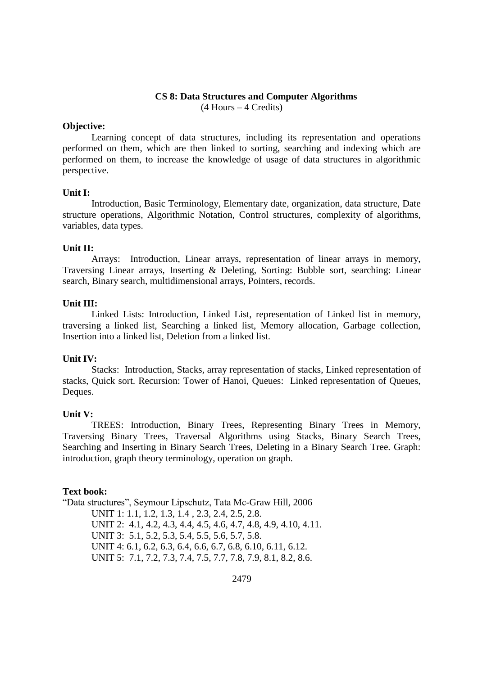### **CS 8: Data Structures and Computer Algorithms** (4 Hours – 4 Credits)

#### **Objective:**

Learning concept of data structures, including its representation and operations performed on them, which are then linked to sorting, searching and indexing which are performed on them, to increase the knowledge of usage of data structures in algorithmic perspective.

#### **Unit I:**

Introduction, Basic Terminology, Elementary date, organization, data structure, Date structure operations, Algorithmic Notation, Control structures, complexity of algorithms, variables, data types.

#### **Unit II:**

Arrays: Introduction, Linear arrays, representation of linear arrays in memory, Traversing Linear arrays, Inserting & Deleting, Sorting: Bubble sort, searching: Linear search, Binary search, multidimensional arrays, Pointers, records.

### **Unit III:**

Linked Lists: Introduction, Linked List, representation of Linked list in memory, traversing a linked list, Searching a linked list, Memory allocation, Garbage collection, Insertion into a linked list, Deletion from a linked list.

#### **Unit IV:**

Stacks: Introduction, Stacks, array representation of stacks, Linked representation of stacks, Quick sort. Recursion: Tower of Hanoi, Queues: Linked representation of Queues, Deques.

#### **Unit V:**

TREES: Introduction, Binary Trees, Representing Binary Trees in Memory, Traversing Binary Trees, Traversal Algorithms using Stacks, Binary Search Trees, Searching and Inserting in Binary Search Trees, Deleting in a Binary Search Tree. Graph: introduction, graph theory terminology, operation on graph.

#### **Text book:**

"Data structures", Seymour Lipschutz, Tata Mc-Graw Hill, 2006 UNIT 1: 1.1, 1.2, 1.3, 1.4 , 2.3, 2.4, 2.5, 2.8. UNIT 2: 4.1, 4.2, 4.3, 4.4, 4.5, 4.6, 4.7, 4.8, 4.9, 4.10, 4.11. UNIT 3: 5.1, 5.2, 5.3, 5.4, 5.5, 5.6, 5.7, 5.8. UNIT 4: 6.1, 6.2, 6.3, 6.4, 6.6, 6.7, 6.8, 6.10, 6.11, 6.12. UNIT 5: 7.1, 7.2, 7.3, 7.4, 7.5, 7.7, 7.8, 7.9, 8.1, 8.2, 8.6.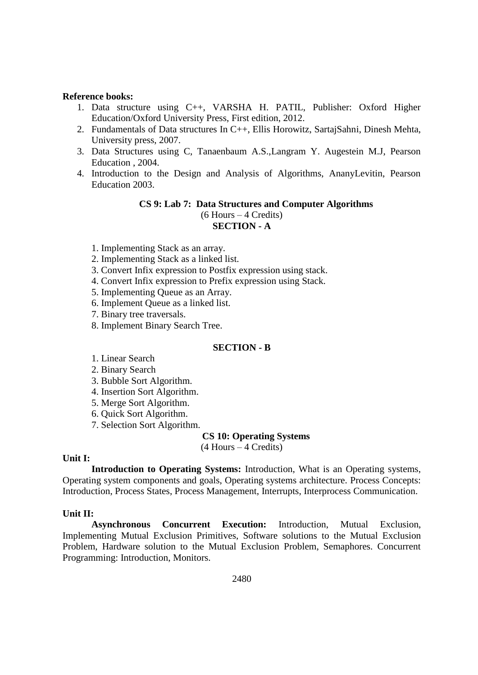#### **Reference books:**

- 1. Data structure using C++, VARSHA H. PATIL, Publisher: Oxford Higher Education/Oxford University Press, First edition, 2012.
- 2. Fundamentals of Data structures In C++, Ellis Horowitz, SartajSahni, Dinesh Mehta, University press, 2007.
- 3. Data Structures using C, Tanaenbaum A.S.,Langram Y. Augestein M.J, Pearson Education , 2004.
- 4. Introduction to the Design and Analysis of Algorithms, AnanyLevitin, Pearson Education 2003.

# **CS 9: Lab 7: Data Structures and Computer Algorithms**

(6 Hours – 4 Credits) **SECTION - A**

- 1. Implementing Stack as an array.
- 2. Implementing Stack as a linked list.
- 3. Convert Infix expression to Postfix expression using stack.
- 4. Convert Infix expression to Prefix expression using Stack.
- 5. Implementing Queue as an Array.
- 6. Implement Queue as a linked list.
- 7. Binary tree traversals.
- 8. Implement Binary Search Tree.

### **SECTION - B**

- 1. Linear Search
- 2. Binary Search
- 3. Bubble Sort Algorithm.
- 4. Insertion Sort Algorithm.
- 5. Merge Sort Algorithm.
- 6. Quick Sort Algorithm.
- 7. Selection Sort Algorithm.

### **CS 10: Operating Systems**

(4 Hours – 4 Credits)

#### **Unit I:**

**Introduction to Operating Systems:** Introduction, What is an Operating systems, Operating system components and goals, Operating systems architecture. Process Concepts: Introduction, Process States, Process Management, Interrupts, Interprocess Communication.

#### **Unit II:**

**Asynchronous Concurrent Execution:** Introduction, Mutual Exclusion, Implementing Mutual Exclusion Primitives, Software solutions to the Mutual Exclusion Problem, Hardware solution to the Mutual Exclusion Problem, Semaphores. Concurrent Programming: Introduction, Monitors.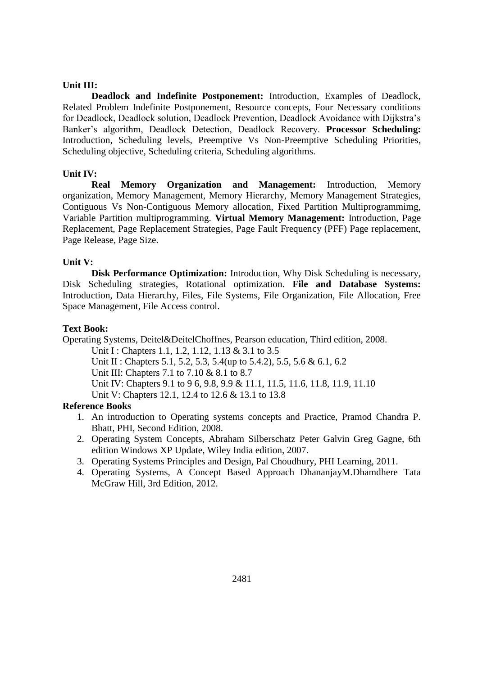# **Unit III:**

**Deadlock and Indefinite Postponement:** Introduction, Examples of Deadlock, Related Problem Indefinite Postponement, Resource concepts, Four Necessary conditions for Deadlock, Deadlock solution, Deadlock Prevention, Deadlock Avoidance with Dijkstra"s Banker"s algorithm, Deadlock Detection, Deadlock Recovery. **Processor Scheduling:**  Introduction, Scheduling levels, Preemptive Vs Non-Preemptive Scheduling Priorities, Scheduling objective, Scheduling criteria, Scheduling algorithms.

# **Unit IV:**

**Real Memory Organization and Management:** Introduction, Memory organization, Memory Management, Memory Hierarchy, Memory Management Strategies, Contiguous Vs Non-Contiguous Memory allocation, Fixed Partition Multiprogrammimg, Variable Partition multiprogramming. **Virtual Memory Management:** Introduction, Page Replacement, Page Replacement Strategies, Page Fault Frequency (PFF) Page replacement, Page Release, Page Size.

# **Unit V:**

**Disk Performance Optimization:** Introduction, Why Disk Scheduling is necessary, Disk Scheduling strategies, Rotational optimization. **File and Database Systems:**  Introduction, Data Hierarchy, Files, File Systems, File Organization, File Allocation, Free Space Management, File Access control.

# **Text Book:**

Operating Systems, Deitel&DeitelChoffnes, Pearson education, Third edition, 2008.

Unit I : Chapters 1.1, 1.2, 1.12, 1.13 & 3.1 to 3.5 Unit II : Chapters 5.1, 5.2, 5.3, 5.4(up to 5.4.2), 5.5, 5.6 & 6.1, 6.2 Unit III: Chapters 7.1 to 7.10 & 8.1 to 8.7 Unit IV: Chapters 9.1 to 9 6, 9.8, 9.9 & 11.1, 11.5, 11.6, 11.8, 11.9, 11.10 Unit V: Chapters 12.1, 12.4 to 12.6 & 13.1 to 13.8

# **Reference Books**

- 1. An introduction to Operating systems concepts and Practice, Pramod Chandra P. Bhatt, PHI, Second Edition, 2008.
- 2. Operating System Concepts, Abraham Silberschatz Peter Galvin Greg Gagne, 6th edition Windows XP Update, Wiley India edition, 2007.
- 3. Operating Systems Principles and Design, Pal Choudhury, PHI Learning, 2011.
- 4. Operating Systems, A Concept Based Approach DhananjayM.Dhamdhere Tata McGraw Hill, 3rd Edition, 2012.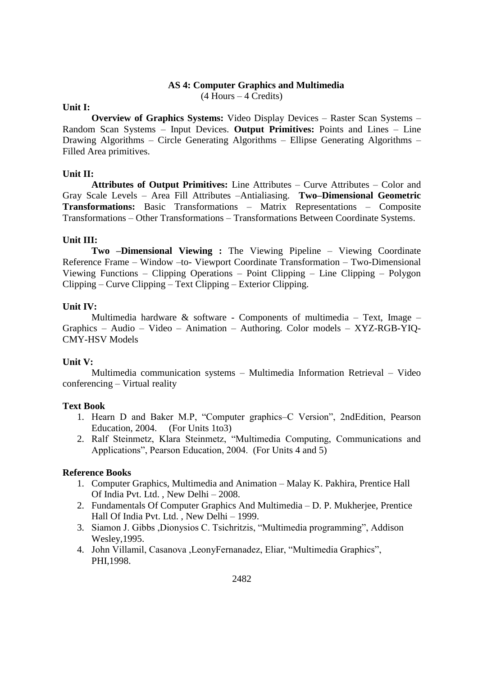# **AS 4: Computer Graphics and Multimedia**

(4 Hours – 4 Credits)

# **Unit I:**

**Overview of Graphics Systems:** Video Display Devices – Raster Scan Systems – Random Scan Systems – Input Devices. **Output Primitives:** Points and Lines – Line Drawing Algorithms – Circle Generating Algorithms – Ellipse Generating Algorithms – Filled Area primitives.

# **Unit II:**

**Attributes of Output Primitives:** Line Attributes – Curve Attributes – Color and Gray Scale Levels – Area Fill Attributes –Antialiasing. **Two–Dimensional Geometric Transformations:** Basic Transformations – Matrix Representations – Composite Transformations – Other Transformations – Transformations Between Coordinate Systems.

# **Unit III:**

**Two –Dimensional Viewing :** The Viewing Pipeline – Viewing Coordinate Reference Frame – Window –to- Viewport Coordinate Transformation – Two-Dimensional Viewing Functions – Clipping Operations – Point Clipping – Line Clipping – Polygon Clipping – Curve Clipping – Text Clipping – Exterior Clipping.

# **Unit IV:**

Multimedia hardware & software - Components of multimedia  $-$  Text, Image  $-$ Graphics – Audio – Video – Animation – Authoring. Color models – XYZ-RGB-YIQ-CMY-HSV Models

# **Unit V:**

Multimedia communication systems – Multimedia Information Retrieval – Video conferencing – Virtual reality

# **Text Book**

- 1. Hearn D and Baker M.P, "Computer graphics–C Version", 2ndEdition, Pearson Education, 2004. (For Units 1to3)
- 2. Ralf Steinmetz, Klara Steinmetz, "Multimedia Computing, Communications and Applications", Pearson Education, 2004. (For Units 4 and 5)

# **Reference Books**

- 1. Computer Graphics, Multimedia and Animation Malay K. Pakhira, Prentice Hall Of India Pvt. Ltd. , New Delhi – 2008.
- 2. Fundamentals Of Computer Graphics And Multimedia D. P. Mukherjee, Prentice Hall Of India Pvt. Ltd. , New Delhi – 1999.
- 3. Siamon J. Gibbs ,Dionysios C. Tsichritzis, "Multimedia programming", Addison Wesley,1995.
- 4. John Villamil, Casanova ,LeonyFernanadez, Eliar, "Multimedia Graphics", PHI,1998.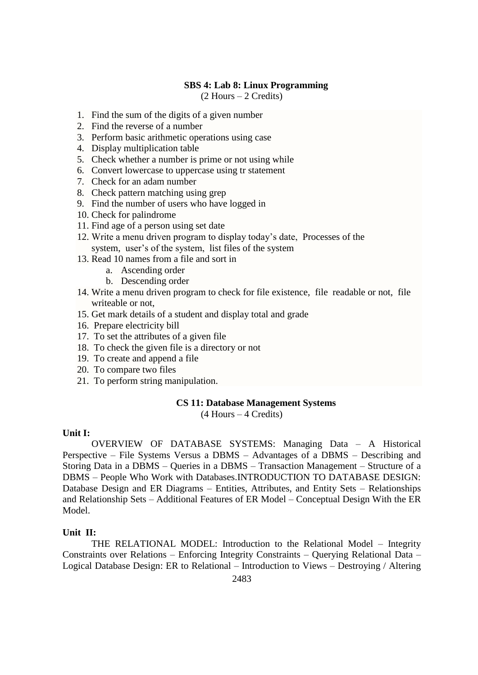### **SBS 4: Lab 8: Linux Programming**

(2 Hours – 2 Credits)

- 1. Find the sum of the digits of a given number
- 2. Find the reverse of a number
- 3. Perform basic arithmetic operations using case
- 4. Display multiplication table
- 5. Check whether a number is prime or not using while
- 6. Convert lowercase to uppercase using tr statement
- 7. Check for an adam number
- 8. Check pattern matching using grep
- 9. Find the number of users who have logged in
- 10. Check for palindrome
- 11. Find age of a person using set date
- 12. Write a menu driven program to display today"s date, Processes of the system, user's of the system, list files of the system
- 13. Read 10 names from a file and sort in
	- a. Ascending order
	- b. Descending order
- 14. Write a menu driven program to check for file existence, file readable or not, file writeable or not,
- 15. Get mark details of a student and display total and grade
- 16. Prepare electricity bill
- 17. To set the attributes of a given file
- 18. To check the given file is a directory or not
- 19. To create and append a file
- 20. To compare two files
- 21. To perform string manipulation.

#### **CS 11: Database Management Systems**

(4 Hours – 4 Credits)

#### **Unit I:**

OVERVIEW OF DATABASE SYSTEMS: Managing Data – A Historical Perspective – File Systems Versus a DBMS – Advantages of a DBMS – Describing and Storing Data in a DBMS – Queries in a DBMS – Transaction Management – Structure of a DBMS – People Who Work with Databases.INTRODUCTION TO DATABASE DESIGN: Database Design and ER Diagrams – Entities, Attributes, and Entity Sets – Relationships and Relationship Sets – Additional Features of ER Model – Conceptual Design With the ER Model.

#### **Unit II:**

THE RELATIONAL MODEL: Introduction to the Relational Model – Integrity Constraints over Relations – Enforcing Integrity Constraints – Querying Relational Data – Logical Database Design: ER to Relational – Introduction to Views – Destroying / Altering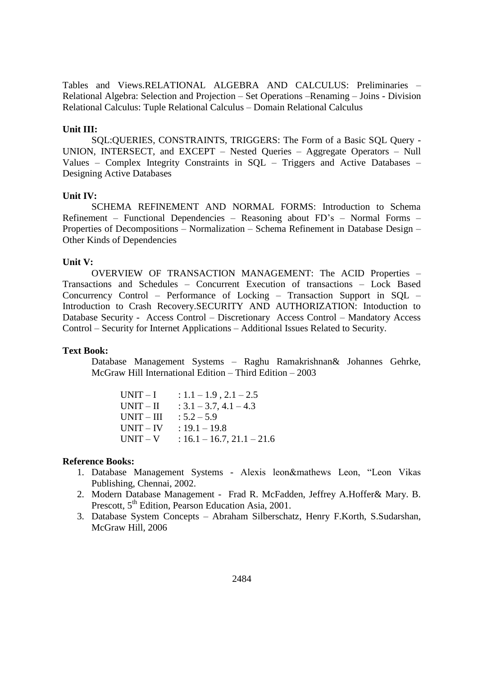Tables and Views.RELATIONAL ALGEBRA AND CALCULUS: Preliminaries – Relational Algebra: Selection and Projection – Set Operations –Renaming – Joins - Division Relational Calculus: Tuple Relational Calculus – Domain Relational Calculus

#### **Unit III:**

SQL:QUERIES, CONSTRAINTS, TRIGGERS: The Form of a Basic SQL Query - UNION, INTERSECT, and EXCEPT – Nested Queries – Aggregate Operators – Null Values – Complex Integrity Constraints in SQL – Triggers and Active Databases – Designing Active Databases

#### **Unit IV:**

SCHEMA REFINEMENT AND NORMAL FORMS: Introduction to Schema Refinement – Functional Dependencies – Reasoning about FD"s – Normal Forms – Properties of Decompositions – Normalization – Schema Refinement in Database Design – Other Kinds of Dependencies

### **Unit V:**

OVERVIEW OF TRANSACTION MANAGEMENT: The ACID Properties – Transactions and Schedules – Concurrent Execution of transactions – Lock Based Concurrency Control – Performance of Locking – Transaction Support in SQL – Introduction to Crash Recovery.SECURITY AND AUTHORIZATION: Intoduction to Database Security - Access Control – Discretionary Access Control – Mandatory Access Control – Security for Internet Applications – Additional Issues Related to Security.

#### **Text Book:**

Database Management Systems – Raghu Ramakrishnan& Johannes Gehrke, McGraw Hill International Edition – Third Edition – 2003

| UNIT – I   | $: 1.1 - 1.9$ , $2.1 - 2.5$  |
|------------|------------------------------|
| UNIT – II  | $: 3.1 - 3.7, 4.1 - 4.3$     |
| UNIT – III | $: 5.2 - 5.9$                |
| UNIT – IV  | $: 19.1 - 19.8$              |
| UNIT – V   | $: 16.1 - 16.7, 21.1 - 21.6$ |

#### **Reference Books:**

- 1. Database Management Systems Alexis leon&mathews Leon, "Leon Vikas Publishing, Chennai, 2002.
- 2. Modern Database Management Frad R. McFadden, Jeffrey A.Hoffer& Mary. B. Prescott, 5<sup>th</sup> Edition, Pearson Education Asia, 2001.
- 3. Database System Concepts Abraham Silberschatz, Henry F.Korth, S.Sudarshan, McGraw Hill, 2006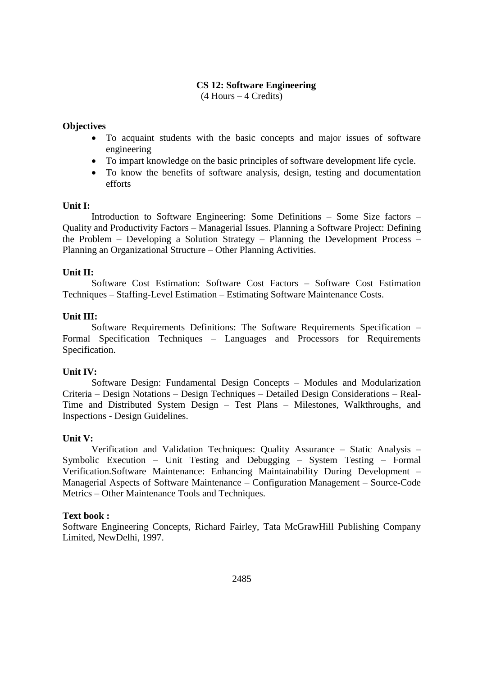# **CS 12: Software Engineering**

(4 Hours – 4 Credits)

# **Objectives**

- To acquaint students with the basic concepts and major issues of software engineering
- To impart knowledge on the basic principles of software development life cycle.
- To know the benefits of software analysis, design, testing and documentation efforts

# **Unit I:**

Introduction to Software Engineering: Some Definitions – Some Size factors – Quality and Productivity Factors – Managerial Issues. Planning a Software Project: Defining the Problem – Developing a Solution Strategy – Planning the Development Process – Planning an Organizational Structure – Other Planning Activities.

# **Unit II:**

Software Cost Estimation: Software Cost Factors – Software Cost Estimation Techniques – Staffing-Level Estimation – Estimating Software Maintenance Costs.

# **Unit III:**

Software Requirements Definitions: The Software Requirements Specification – Formal Specification Techniques – Languages and Processors for Requirements Specification.

# **Unit IV:**

Software Design: Fundamental Design Concepts – Modules and Modularization Criteria – Design Notations – Design Techniques – Detailed Design Considerations – Real-Time and Distributed System Design – Test Plans – Milestones, Walkthroughs, and Inspections - Design Guidelines.

# **Unit V:**

Verification and Validation Techniques: Quality Assurance – Static Analysis – Symbolic Execution – Unit Testing and Debugging – System Testing – Formal Verification.Software Maintenance: Enhancing Maintainability During Development – Managerial Aspects of Software Maintenance – Configuration Management – Source-Code Metrics – Other Maintenance Tools and Techniques.

# **Text book :**

Software Engineering Concepts, Richard Fairley, Tata McGrawHill Publishing Company Limited, NewDelhi, 1997.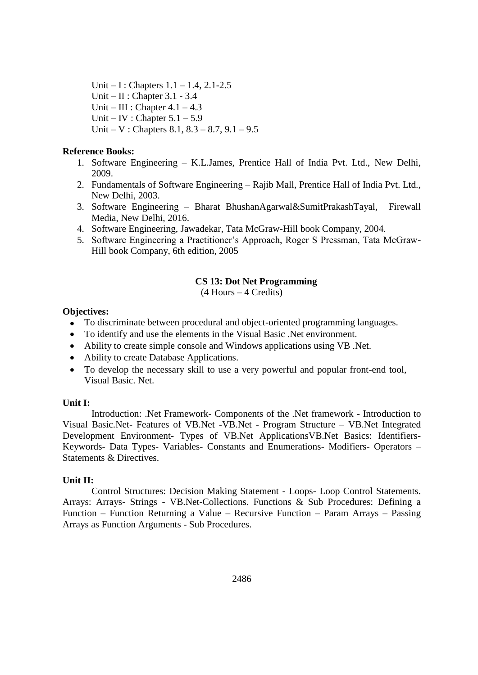Unit – I : Chapters  $1.1 - 1.4$ , 2.1-2.5 Unit – II : Chapter 3.1 - 3.4 Unit – III : Chapter  $4.1 - 4.3$ Unit – IV : Chapter  $5.1 - 5.9$ Unit – V : Chapters  $8.1, 8.3 - 8.7, 9.1 - 9.5$ 

# **Reference Books:**

- 1. Software Engineering K.L.James, Prentice Hall of India Pvt. Ltd., New Delhi, 2009.
- 2. Fundamentals of Software Engineering Rajib Mall, Prentice Hall of India Pvt. Ltd., New Delhi, 2003.
- 3. Software Engineering Bharat BhushanAgarwal&SumitPrakashTayal, Firewall Media, New Delhi, 2016.
- 4. Software Engineering, Jawadekar, Tata McGraw-Hill book Company, 2004.
- 5. Software Engineering a Practitioner"s Approach, Roger S Pressman, Tata McGraw-Hill book Company, 6th edition, 2005

# **CS 13: Dot Net Programming**

(4 Hours – 4 Credits)

# **Objectives:**

- To discriminate between procedural and object-oriented programming languages.
- To identify and use the elements in the Visual Basic .Net environment.
- Ability to create simple console and Windows applications using VB .Net.
- Ability to create Database Applications.
- To develop the necessary skill to use a very powerful and popular front-end tool, Visual Basic. Net.

# **Unit I:**

Introduction: .Net Framework- Components of the .Net framework - Introduction to Visual Basic.Net- Features of VB.Net -VB.Net - Program Structure – VB.Net Integrated Development Environment- Types of VB.Net ApplicationsVB.Net Basics: Identifiers-Keywords- Data Types- Variables- Constants and Enumerations- Modifiers- Operators – Statements & Directives.

# **Unit II:**

Control Structures: Decision Making Statement - Loops- Loop Control Statements. Arrays: Arrays- Strings - VB.Net-Collections. Functions & Sub Procedures: Defining a Function – Function Returning a Value – Recursive Function – Param Arrays – Passing Arrays as Function Arguments - Sub Procedures.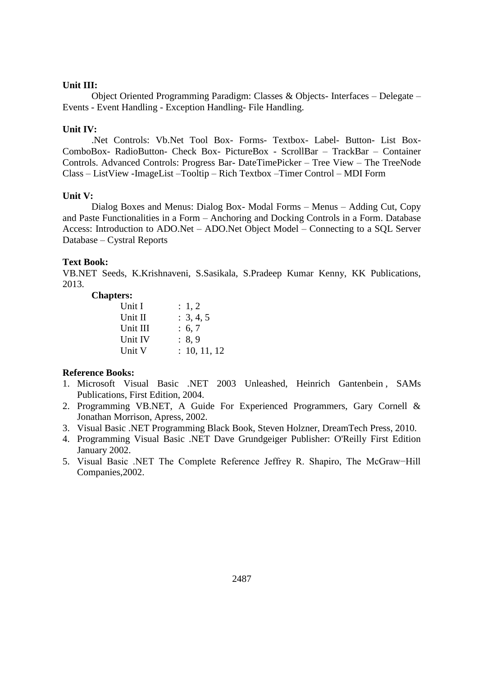### **Unit III:**

Object Oriented Programming Paradigm: Classes & Objects- Interfaces – Delegate – Events - Event Handling - Exception Handling- File Handling.

### **Unit IV:**

.Net Controls: Vb.Net Tool Box- Forms- Textbox- Label- Button- List Box-ComboBox- RadioButton- Check Box- PictureBox - ScrollBar – TrackBar – Container Controls. Advanced Controls: Progress Bar- DateTimePicker – Tree View – The TreeNode Class – ListView -ImageList –Tooltip – Rich Textbox –Timer Control – MDI Form

### **Unit V:**

Dialog Boxes and Menus: Dialog Box- Modal Forms – Menus – Adding Cut, Copy and Paste Functionalities in a Form – Anchoring and Docking Controls in a Form. Database Access: Introduction to ADO.Net – ADO.Net Object Model – Connecting to a SQL Server Database – Cystral Reports

### **Text Book:**

VB.NET Seeds, K.Krishnaveni, S.Sasikala, S.Pradeep Kumar Kenny, KK Publications, 2013.

# **Chapters:**

| : 1, 2       |
|--------------|
| : 3, 4, 5    |
| : 6, 7       |
| : 8, 9       |
| : 10, 11, 12 |
|              |

#### **Reference Books:**

- 1. Microsoft Visual Basic .NET 2003 Unleashed, [Heinrich Gantenbein](http://www.amazon.com/s/ref=ntt_athr_dp_sr_1?_encoding=UTF8&sort=relevancerank&search-alias=books&ie=UTF8&field-author=Heinrich%20Gantenbein) , SAMs Publications, First Edition, 2004.
- 2. Programming VB.NET, A Guide For Experienced Programmers, Gary Cornell & Jonathan Morrison, Apress, 2002.
- 3. Visual Basic .NET Programming Black Book, Steven Holzner, DreamTech Press, 2010.
- 4. Programming Visual Basic .NET Dave Grundgeiger Publisher: O'Reilly First Edition January 2002.
- 5. Visual Basic .NET The Complete Reference Jeffrey R. Shapiro, The McGraw−Hill Companies,2002.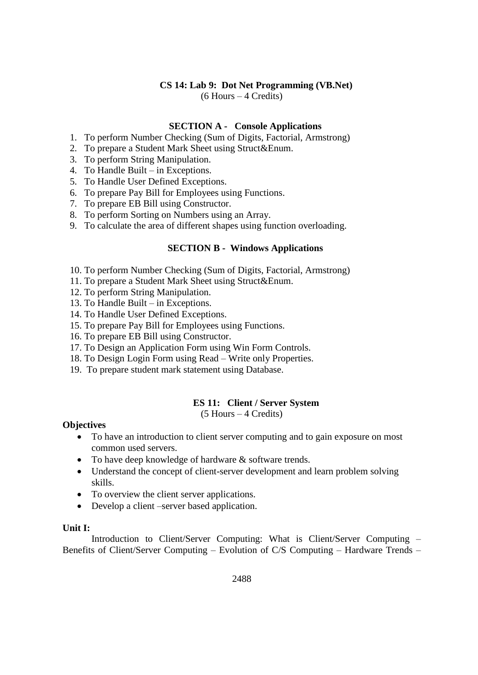# **CS 14: Lab 9: Dot Net Programming (VB.Net)** (6 Hours – 4 Credits)

# **SECTION A - Console Applications**

- 1. To perform Number Checking (Sum of Digits, Factorial, Armstrong)
- 2. To prepare a Student Mark Sheet using Struct&Enum.
- 3. To perform String Manipulation.
- 4. To Handle Built in Exceptions.
- 5. To Handle User Defined Exceptions.
- 6. To prepare Pay Bill for Employees using Functions.
- 7. To prepare EB Bill using Constructor.
- 8. To perform Sorting on Numbers using an Array.
- 9. To calculate the area of different shapes using function overloading.

### **SECTION B - Windows Applications**

- 10. To perform Number Checking (Sum of Digits, Factorial, Armstrong)
- 11. To prepare a Student Mark Sheet using Struct&Enum.
- 12. To perform String Manipulation.
- 13. To Handle Built in Exceptions.
- 14. To Handle User Defined Exceptions.
- 15. To prepare Pay Bill for Employees using Functions.
- 16. To prepare EB Bill using Constructor.
- 17. To Design an Application Form using Win Form Controls.
- 18. To Design Login Form using Read Write only Properties.
- 19. To prepare student mark statement using Database.

#### **ES 11: Client / Server System**

(5 Hours – 4 Credits)

### **Objectives**

- To have an introduction to client server computing and to gain exposure on most common used servers.
- To have deep knowledge of hardware & software trends.
- Understand the concept of client-server development and learn problem solving skills.
- To overview the client server applications.
- Develop a client –server based application.

#### **Unit I:**

Introduction to Client/Server Computing: What is Client/Server Computing – Benefits of Client/Server Computing – Evolution of C/S Computing – Hardware Trends –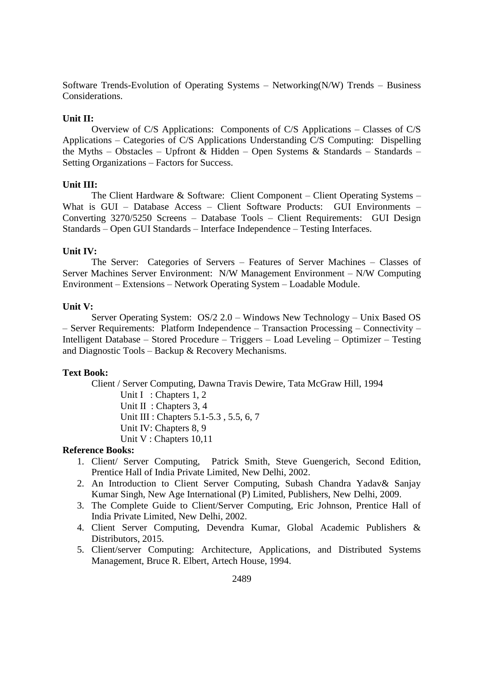Software Trends-Evolution of Operating Systems – Networking(N/W) Trends – Business Considerations.

### **Unit II:**

Overview of C/S Applications: Components of C/S Applications – Classes of C/S Applications – Categories of C/S Applications Understanding C/S Computing: Dispelling the Myths – Obstacles – Upfront & Hidden – Open Systems & Standards – Standards – Setting Organizations – Factors for Success.

### **Unit III:**

The Client Hardware & Software: Client Component – Client Operating Systems – What is GUI – Database Access – Client Software Products: GUI Environments – Converting 3270/5250 Screens – Database Tools – Client Requirements: GUI Design Standards – Open GUI Standards – Interface Independence – Testing Interfaces.

### **Unit IV:**

The Server: Categories of Servers – Features of Server Machines – Classes of Server Machines Server Environment: N/W Management Environment – N/W Computing Environment – Extensions – Network Operating System – Loadable Module.

#### **Unit V:**

Server Operating System: OS/2 2.0 – Windows New Technology – Unix Based OS – Server Requirements: Platform Independence – Transaction Processing – Connectivity – Intelligent Database – Stored Procedure – Triggers – Load Leveling – Optimizer – Testing and Diagnostic Tools – Backup & Recovery Mechanisms.

#### **Text Book:**

Client / Server Computing, Dawna Travis Dewire, Tata McGraw Hill, 1994 Unit I : Chapters 1, 2 Unit II : Chapters 3, 4 Unit III : Chapters 5.1-5.3 , 5.5, 6, 7 Unit IV: Chapters 8, 9 Unit V : Chapters 10,11

### **Reference Books:**

- 1. Client/ Server Computing, Patrick Smith, Steve Guengerich, Second Edition, Prentice Hall of India Private Limited, New Delhi, 2002.
- 2. An Introduction to Client Server Computing, Subash Chandra Yadav& Sanjay Kumar Singh, New Age International (P) Limited, Publishers, New Delhi, 2009.
- 3. The Complete Guide to Client/Server Computing, Eric Johnson, Prentice Hall of India Private Limited, New Delhi, 2002.
- 4. Client Server Computing, Devendra Kumar, Global Academic Publishers & Distributors, 2015.
- 5. Client/server Computing: Architecture, Applications, and Distributed Systems Management, Bruce R. Elbert, Artech House, 1994.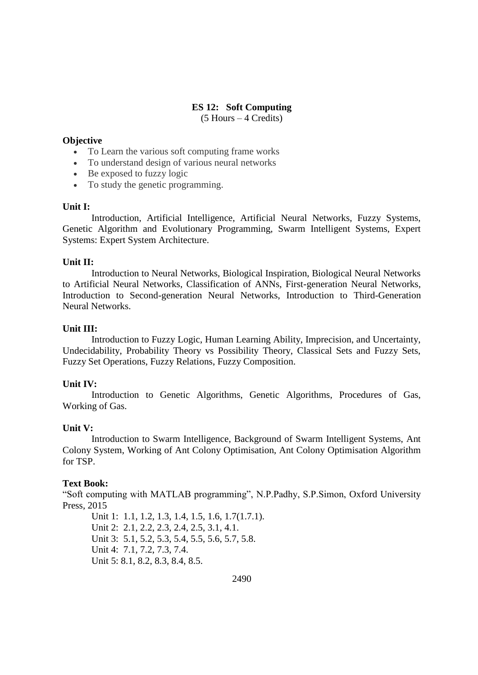# **ES 12: Soft Computing**

(5 Hours – 4 Credits)

### **Objective**

- To Learn the various soft computing frame works
- To understand design of various neural networks
- Be exposed to fuzzy logic
- To study the genetic programming.

### **Unit I:**

Introduction, Artificial Intelligence, Artificial Neural Networks, Fuzzy Systems, Genetic Algorithm and Evolutionary Programming, Swarm Intelligent Systems, Expert Systems: Expert System Architecture.

### **Unit II:**

Introduction to Neural Networks, Biological Inspiration, Biological Neural Networks to Artificial Neural Networks, Classification of ANNs, First-generation Neural Networks, Introduction to Second-generation Neural Networks, Introduction to Third-Generation Neural Networks.

# **Unit III:**

Introduction to Fuzzy Logic, Human Learning Ability, Imprecision, and Uncertainty, Undecidability, Probability Theory vs Possibility Theory, Classical Sets and Fuzzy Sets, Fuzzy Set Operations, Fuzzy Relations, Fuzzy Composition.

# **Unit IV:**

Introduction to Genetic Algorithms, Genetic Algorithms, Procedures of Gas, Working of Gas.

#### **Unit V:**

Introduction to Swarm Intelligence, Background of Swarm Intelligent Systems, Ant Colony System, Working of Ant Colony Optimisation, Ant Colony Optimisation Algorithm for TSP.

#### **Text Book:**

"Soft computing with MATLAB programming", N.P.Padhy, S.P.Simon, Oxford University Press, 2015

Unit 1: 1.1, 1.2, 1.3, 1.4, 1.5, 1.6, 1.7(1.7.1). Unit 2: 2.1, 2.2, 2.3, 2.4, 2.5, 3.1, 4.1. Unit 3: 5.1, 5.2, 5.3, 5.4, 5.5, 5.6, 5.7, 5.8. Unit 4: 7.1, 7.2, 7.3, 7.4. Unit 5: 8.1, 8.2, 8.3, 8.4, 8.5.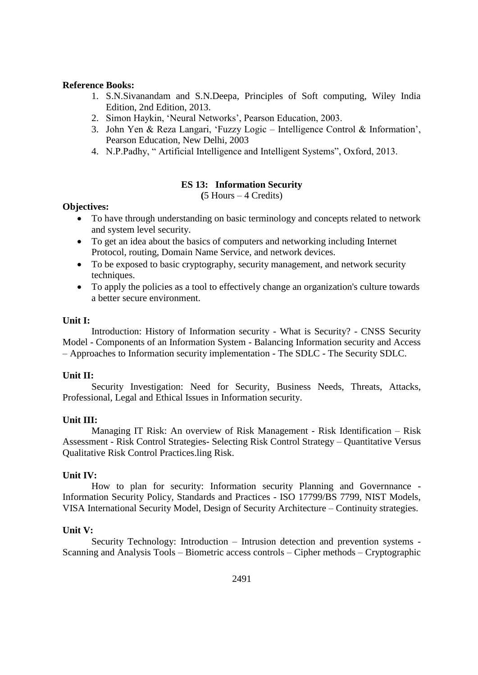# **Reference Books:**

- 1. S.N.Sivanandam and S.N.Deepa, Principles of Soft computing, Wiley India Edition, 2nd Edition, 2013.
- 2. Simon Haykin, "Neural Networks", Pearson Education, 2003.
- 3. John Yen & Reza Langari, "Fuzzy Logic Intelligence Control & Information", Pearson Education, New Delhi, 2003
- 4. N.P.Padhy, " Artificial Intelligence and Intelligent Systems", Oxford, 2013.

### **ES 13: Information Security**

**(**5 Hours – 4 Credits)

# **Objectives:**

- To have through understanding on basic terminology and concepts related to network and system level security.
- To get an idea about the basics of computers and networking including Internet Protocol, routing, Domain Name Service, and network devices.
- To be exposed to basic cryptography, security management, and network security techniques.
- To apply the policies as a tool to effectively change an organization's culture towards a better secure environment.

#### **Unit I:**

Introduction: History of Information security - What is Security? - CNSS Security Model - Components of an Information System - Balancing Information security and Access – Approaches to Information security implementation - The SDLC - The Security SDLC.

#### **Unit II:**

Security Investigation: Need for Security, Business Needs, Threats, Attacks, Professional, Legal and Ethical Issues in Information security.

# **Unit III:**

Managing IT Risk: An overview of Risk Management - Risk Identification – Risk Assessment - Risk Control Strategies- Selecting Risk Control Strategy – Quantitative Versus Qualitative Risk Control Practices.ling Risk.

# **Unit IV:**

How to plan for security: Information security Planning and Governnance - Information Security Policy, Standards and Practices - ISO 17799/BS 7799, NIST Models, VISA International Security Model, Design of Security Architecture – Continuity strategies.

### **Unit V:**

Security Technology: Introduction – Intrusion detection and prevention systems - Scanning and Analysis Tools – Biometric access controls – Cipher methods – Cryptographic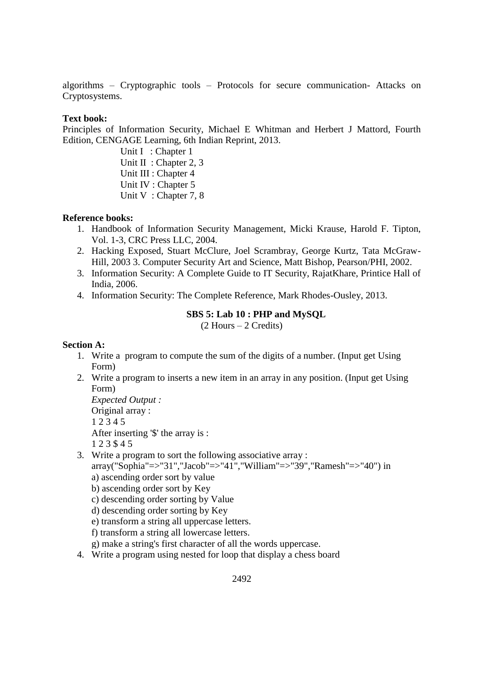algorithms – Cryptographic tools – Protocols for secure communication- Attacks on Cryptosystems.

# **Text book:**

Principles of Information Security, Michael E Whitman and Herbert J Mattord, Fourth Edition, CENGAGE Learning, 6th Indian Reprint, 2013.

> Unit I : Chapter 1 Unit II : Chapter 2, 3 Unit III : Chapter 4 Unit IV : Chapter 5 Unit V: Chapter 7, 8

### **Reference books:**

- 1. Handbook of Information Security Management, Micki Krause, Harold F. Tipton, Vol. 1-3, CRC Press LLC, 2004.
- 2. Hacking Exposed, Stuart McClure, Joel Scrambray, George Kurtz, Tata McGraw-Hill, 2003 3. Computer Security Art and Science, Matt Bishop, Pearson/PHI, 2002.
- 3. Information Security: A Complete Guide to IT Security, RajatKhare, Printice Hall of India, 2006.
- 4. Information Security: The Complete Reference, Mark Rhodes-Ousley, 2013.

### **SBS 5: Lab 10 : PHP and MySQL**

(2 Hours – 2 Credits)

# **Section A:**

- 1. Write a program to compute the sum of the digits of a number. (Input get Using Form)
- 2. Write a program to inserts a new item in an array in any position. (Input get Using Form)

*Expected Output :* Original array : 1 2 3 4 5 After inserting '\$' the array is : 1 2 3 \$ 4 5

- 3. Write a program to sort the following associative array :
	- array("Sophia"=>"31","Jacob"=>"41","William"=>"39","Ramesh"=>"40") in a) ascending order sort by value
	- b) ascending order sort by Key
	- c) descending order sorting by Value
	- d) descending order sorting by Key
	- e) transform a string all uppercase letters.
	- f) transform a string all lowercase letters.
	- g) make a string's first character of all the words uppercase.
- 4. Write a program using nested for loop that display a chess board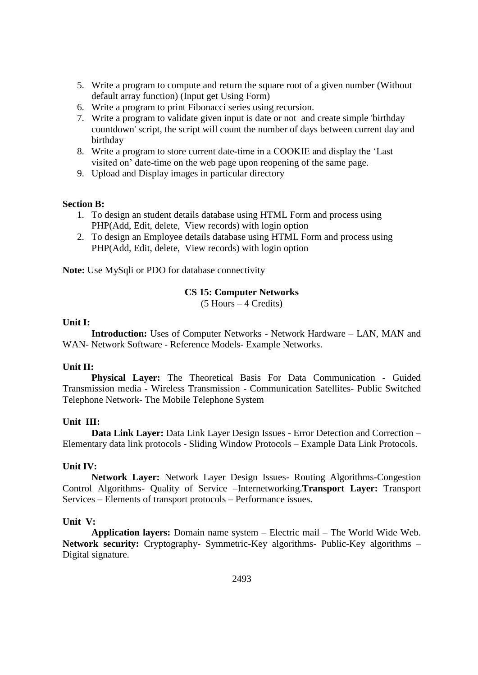- 5. Write a program to compute and return the square root of a given number (Without default array function) (Input get Using Form)
- 6. Write a program to print Fibonacci series using recursion.
- 7. Write a program to validate given input is date or not and create simple 'birthday countdown' script, the script will count the number of days between current day and birthday
- 8. Write a program to store current date-time in a COOKIE and display the "Last visited on" date-time on the web page upon reopening of the same page.
- 9. Upload and Display images in particular directory

# **Section B:**

- 1. To design an student details database using HTML Form and process using PHP(Add, Edit, delete, View records) with login option
- 2. To design an Employee details database using HTML Form and process using PHP(Add, Edit, delete, View records) with login option

**Note:** Use MySqli or PDO for database connectivity

# **CS 15: Computer Networks**

(5 Hours – 4 Credits)

# **Unit I:**

**Introduction:** Uses of Computer Networks - Network Hardware – LAN, MAN and WAN- Network Software - Reference Models- Example Networks.

# **Unit II:**

**Physical Layer:** The Theoretical Basis For Data Communication *-* Guided Transmission media - Wireless Transmission - Communication Satellites- Public Switched Telephone Network- The Mobile Telephone System

# **Unit III:**

**Data Link Layer:** Data Link Layer Design Issues - Error Detection and Correction – Elementary data link protocols - Sliding Window Protocols – Example Data Link Protocols.

# **Unit IV:**

**Network Layer:** Network Layer Design Issues- Routing Algorithms-Congestion Control Algorithms- Quality of Service –Internetworking.**Transport Layer:** Transport Services – Elements of transport protocols – Performance issues.

# **Unit V:**

**Application layers:** Domain name system – Electric mail – The World Wide Web. **Network security:** Cryptography- Symmetric-Key algorithms- Public-Key algorithms – Digital signature.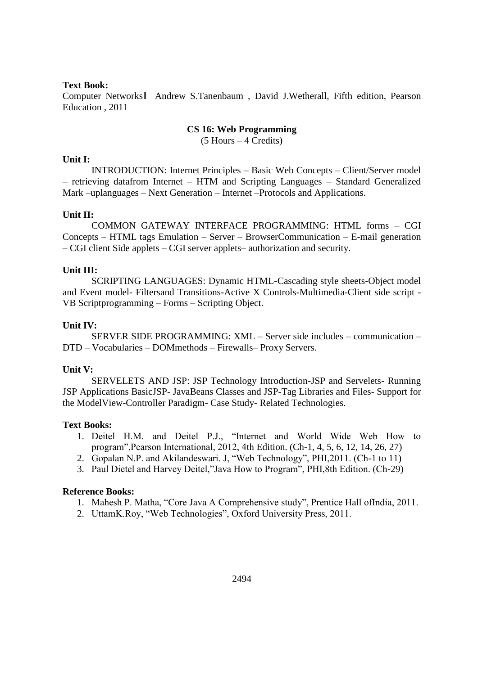### **Text Book:**

Computer Networks‖ Andrew S.Tanenbaum , David J.Wetherall, Fifth edition, Pearson Education , 2011

### **CS 16: Web Programming**

(5 Hours – 4 Credits)

#### **Unit I:**

INTRODUCTION: Internet Principles – Basic Web Concepts – Client/Server model – retrieving datafrom Internet – HTM and Scripting Languages – Standard Generalized Mark –uplanguages – Next Generation – Internet –Protocols and Applications.

### **Unit II:**

COMMON GATEWAY INTERFACE PROGRAMMING: HTML forms – CGI Concepts – HTML tags Emulation – Server – BrowserCommunication – E-mail generation – CGI client Side applets – CGI server applets– authorization and security.

### **Unit III:**

SCRIPTING LANGUAGES: Dynamic HTML-Cascading style sheets-Object model and Event model- Filtersand Transitions-Active X Controls-Multimedia-Client side script - VB Scriptprogramming – Forms – Scripting Object.

### **Unit IV:**

SERVER SIDE PROGRAMMING: XML – Server side includes – communication – DTD – Vocabularies – DOMmethods – Firewalls– Proxy Servers.

# **Unit V:**

SERVELETS AND JSP: JSP Technology Introduction-JSP and Servelets- Running JSP Applications BasicJSP- JavaBeans Classes and JSP-Tag Libraries and Files- Support for the ModelView-Controller Paradigm- Case Study- Related Technologies.

#### **Text Books:**

- 1. Deitel H.M. and Deitel P.J., "Internet and World Wide Web How to program",Pearson International, 2012, 4th Edition. (Ch-1, 4, 5, 6, 12, 14, 26, 27)
- 2. Gopalan N.P. and Akilandeswari. J, "Web Technology", PHI,2011. (Ch-1 to 11)
- 3. Paul Dietel and Harvey Deitel,"Java How to Program", PHI,8th Edition. (Ch-29)

#### **Reference Books:**

- 1. Mahesh P. Matha, "Core Java A Comprehensive study", Prentice Hall ofIndia, 2011.
- 2. UttamK.Roy, "Web Technologies", Oxford University Press, 2011.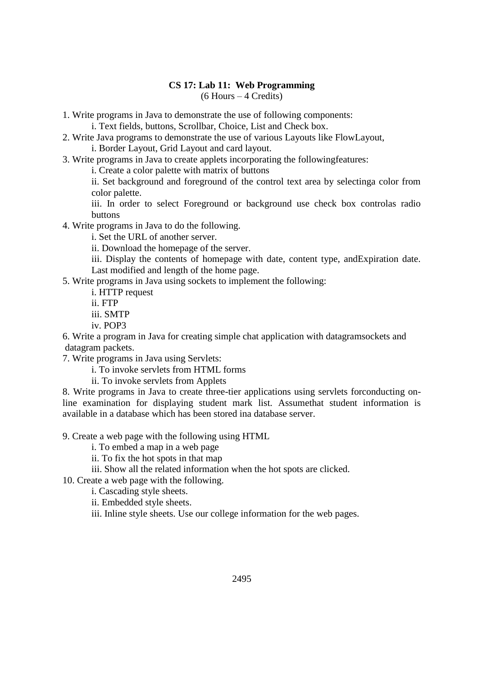# **CS 17: Lab 11: Web Programming**

(6 Hours – 4 Credits)

1. Write programs in Java to demonstrate the use of following components:

i. Text fields, buttons, Scrollbar, Choice, List and Check box.

2. Write Java programs to demonstrate the use of various Layouts like FlowLayout,

i. Border Layout, Grid Layout and card layout.

3. Write programs in Java to create applets incorporating the followingfeatures:

i. Create a color palette with matrix of buttons

ii. Set background and foreground of the control text area by selectinga color from color palette.

iii. In order to select Foreground or background use check box controlas radio buttons

4. Write programs in Java to do the following.

i. Set the URL of another server.

ii. Download the homepage of the server.

iii. Display the contents of homepage with date, content type, andExpiration date. Last modified and length of the home page.

5. Write programs in Java using sockets to implement the following:

i. HTTP request

ii. FTP

iii. SMTP

iv. POP3

6. Write a program in Java for creating simple chat application with datagramsockets and datagram packets.

7. Write programs in Java using Servlets:

i. To invoke servlets from HTML forms

ii. To invoke servlets from Applets

8. Write programs in Java to create three-tier applications using servlets forconducting online examination for displaying student mark list. Assumethat student information is available in a database which has been stored ina database server.

9. Create a web page with the following using HTML

i. To embed a map in a web page

ii. To fix the hot spots in that map

iii. Show all the related information when the hot spots are clicked.

10. Create a web page with the following.

i. Cascading style sheets.

ii. Embedded style sheets.

iii. Inline style sheets. Use our college information for the web pages.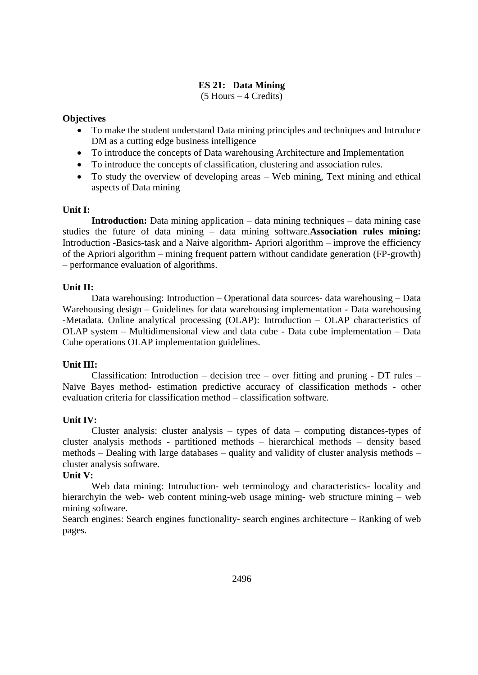# **ES 21: Data Mining**

(5 Hours – 4 Credits)

# **Objectives**

- To make the student understand Data mining principles and techniques and Introduce DM as a cutting edge business intelligence
- To introduce the concepts of Data warehousing Architecture and Implementation
- To introduce the concepts of classification, clustering and association rules.
- To study the overview of developing areas Web mining, Text mining and ethical aspects of Data mining

# **Unit I:**

**Introduction:** Data mining application – data mining techniques – data mining case studies the future of data mining – data mining software.**Association rules mining:**  Introduction -Basics-task and a Naive algorithm- Apriori algorithm – improve the efficiency of the Apriori algorithm – mining frequent pattern without candidate generation (FP-growth) – performance evaluation of algorithms.

# **Unit II:**

Data warehousing: Introduction – Operational data sources- data warehousing – Data Warehousing design – Guidelines for data warehousing implementation - Data warehousing -Metadata. Online analytical processing (OLAP): Introduction – OLAP characteristics of OLAP system – Multidimensional view and data cube - Data cube implementation – Data Cube operations OLAP implementation guidelines.

# **Unit III:**

Classification: Introduction – decision tree – over fitting and pruning -  $DT$  rules – Naïve Bayes method- estimation predictive accuracy of classification methods - other evaluation criteria for classification method – classification software.

# **Unit IV:**

Cluster analysis: cluster analysis – types of data – computing distances-types of cluster analysis methods - partitioned methods – hierarchical methods – density based methods – Dealing with large databases – quality and validity of cluster analysis methods – cluster analysis software.

# **Unit V:**

Web data mining: Introduction- web terminology and characteristics- locality and hierarchyin the web- web content mining-web usage mining- web structure mining – web mining software.

Search engines: Search engines functionality- search engines architecture – Ranking of web pages.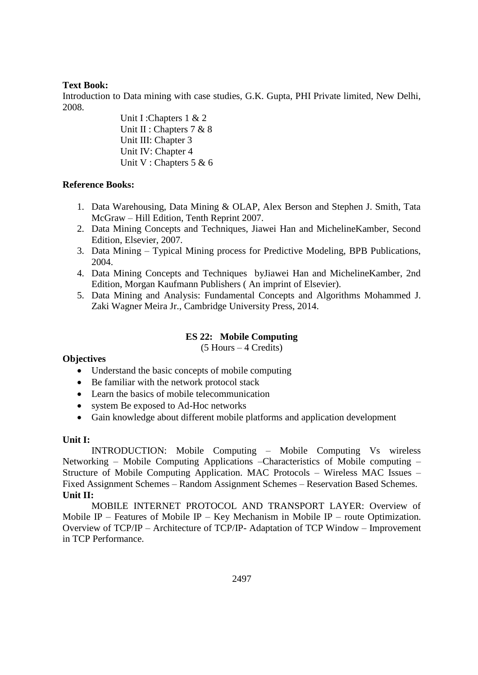# **Text Book:**

Introduction to Data mining with case studies, G.K. Gupta, PHI Private limited, New Delhi, 2008.

> Unit I: Chapters 1 & 2 Unit II : Chapters 7 & 8 Unit III: Chapter 3 Unit IV: Chapter 4 Unit V : Chapters 5 & 6

# **Reference Books:**

- 1. Data Warehousing, Data Mining & OLAP, Alex Berson and Stephen J. Smith, Tata McGraw – Hill Edition, Tenth Reprint 2007.
- 2. Data Mining Concepts and Techniques, Jiawei Han and MichelineKamber, Second Edition, Elsevier, 2007.
- 3. Data Mining Typical Mining process for Predictive Modeling, BPB Publications, 2004.
- 4. Data Mining Concepts and Techniques byJiawei Han and MichelineKamber, 2nd Edition, Morgan Kaufmann Publishers ( An imprint of Elsevier).
- 5. Data Mining and Analysis: Fundamental Concepts and Algorithms Mohammed J. Zaki Wagner Meira Jr., Cambridge University Press, 2014.

# **ES 22: Mobile Computing**

(5 Hours – 4 Credits)

# **Objectives**

- Understand the basic concepts of mobile computing
- Be familiar with the network protocol stack
- Learn the basics of mobile telecommunication
- system Be exposed to Ad-Hoc networks
- Gain knowledge about different mobile platforms and application development

# **Unit I:**

INTRODUCTION: Mobile Computing – Mobile Computing Vs wireless Networking – Mobile Computing Applications –Characteristics of Mobile computing – Structure of Mobile Computing Application. MAC Protocols – Wireless MAC Issues – Fixed Assignment Schemes – Random Assignment Schemes – Reservation Based Schemes. **Unit II:**

MOBILE INTERNET PROTOCOL AND TRANSPORT LAYER: Overview of Mobile IP – Features of Mobile IP – Key Mechanism in Mobile IP – route Optimization. Overview of TCP/IP – Architecture of TCP/IP- Adaptation of TCP Window – Improvement in TCP Performance.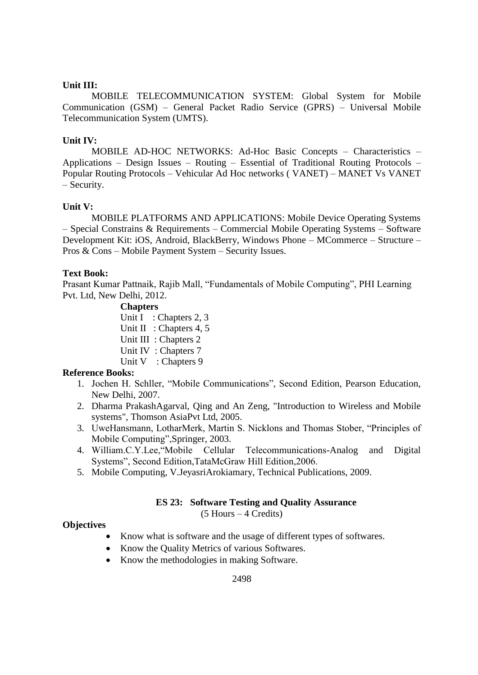# **Unit III:**

MOBILE TELECOMMUNICATION SYSTEM: Global System for Mobile Communication (GSM) – General Packet Radio Service (GPRS) – Universal Mobile Telecommunication System (UMTS).

# **Unit IV:**

MOBILE AD-HOC NETWORKS: Ad-Hoc Basic Concepts – Characteristics – Applications – Design Issues – Routing – Essential of Traditional Routing Protocols – Popular Routing Protocols – Vehicular Ad Hoc networks ( VANET) – MANET Vs VANET – Security.

# **Unit V:**

MOBILE PLATFORMS AND APPLICATIONS: Mobile Device Operating Systems – Special Constrains & Requirements – Commercial Mobile Operating Systems – Software Development Kit: iOS, Android, BlackBerry, Windows Phone – MCommerce – Structure – Pros & Cons – Mobile Payment System – Security Issues.

# **Text Book:**

Prasant Kumar Pattnaik, Rajib Mall, "Fundamentals of Mobile Computing", PHI Learning Pvt. Ltd, New Delhi, 2012.

**Chapters**

Unit I : Chapters 2, 3 Unit II : Chapters 4, 5 Unit III : Chapters 2 Unit IV : Chapters 7

# Unit V : Chapters 9

# **Reference Books:**

- 1. Jochen H. Schller, "Mobile Communications", Second Edition, Pearson Education, New Delhi, 2007.
- 2. Dharma PrakashAgarval, Qing and An Zeng, "Introduction to Wireless and Mobile systems", Thomson AsiaPvt Ltd, 2005.
- 3. UweHansmann, LotharMerk, Martin S. Nicklons and Thomas Stober, "Principles of Mobile Computing",Springer, 2003.
- 4. William.C.Y.Lee,"Mobile Cellular Telecommunications-Analog and Digital Systems", Second Edition,TataMcGraw Hill Edition,2006.
- 5. Mobile Computing, V.JeyasriArokiamary, Technical Publications, 2009.

# **ES 23: Software Testing and Quality Assurance**

(5 Hours – 4 Credits)

# **Objectives**

- Know what is software and the usage of different types of softwares.
- Know the Quality Metrics of various Softwares.
- Know the methodologies in making Software.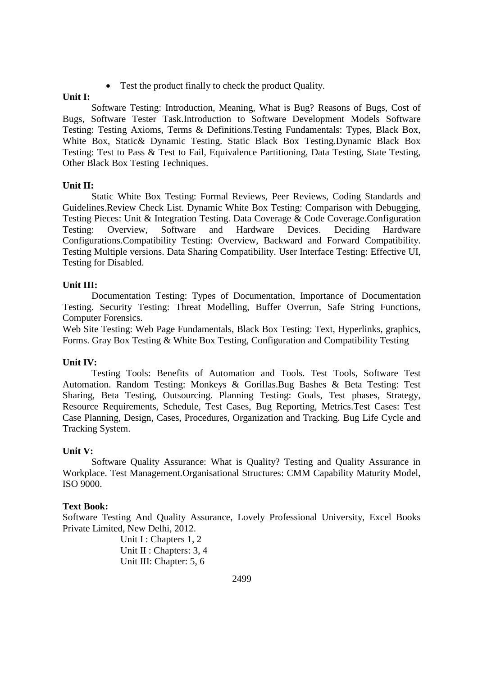Test the product finally to check the product Quality.

# **Unit I:**

Software Testing: Introduction, Meaning, What is Bug? Reasons of Bugs, Cost of Bugs, Software Tester Task.Introduction to Software Development Models Software Testing: Testing Axioms, Terms & Definitions.Testing Fundamentals: Types, Black Box, White Box, Static& Dynamic Testing. Static Black Box Testing.Dynamic Black Box Testing: Test to Pass & Test to Fail, Equivalence Partitioning, Data Testing, State Testing, Other Black Box Testing Techniques.

# **Unit II:**

Static White Box Testing: Formal Reviews, Peer Reviews, Coding Standards and Guidelines.Review Check List. Dynamic White Box Testing: Comparison with Debugging, Testing Pieces: Unit & Integration Testing. Data Coverage & Code Coverage.Configuration Testing: Overview, Software and Hardware Devices. Deciding Hardware Configurations.Compatibility Testing: Overview, Backward and Forward Compatibility. Testing Multiple versions. Data Sharing Compatibility. User Interface Testing: Effective UI, Testing for Disabled.

# **Unit III:**

Documentation Testing: Types of Documentation, Importance of Documentation Testing. Security Testing: Threat Modelling, Buffer Overrun, Safe String Functions, Computer Forensics.

Web Site Testing: Web Page Fundamentals, Black Box Testing: Text, Hyperlinks, graphics, Forms. Gray Box Testing & White Box Testing, Configuration and Compatibility Testing

# **Unit IV:**

Testing Tools: Benefits of Automation and Tools. Test Tools, Software Test Automation. Random Testing: Monkeys & Gorillas.Bug Bashes & Beta Testing: Test Sharing, Beta Testing, Outsourcing. Planning Testing: Goals, Test phases, Strategy, Resource Requirements, Schedule, Test Cases, Bug Reporting, Metrics.Test Cases: Test Case Planning, Design, Cases, Procedures, Organization and Tracking. Bug Life Cycle and Tracking System.

# **Unit V:**

Software Quality Assurance: What is Quality? Testing and Quality Assurance in Workplace. Test Management.Organisational Structures: CMM Capability Maturity Model, ISO 9000.

# **Text Book:**

Software Testing And Quality Assurance, Lovely Professional University, Excel Books Private Limited, New Delhi, 2012.

> Unit I : Chapters 1, 2 Unit II : Chapters: 3, 4 Unit III: Chapter: 5, 6